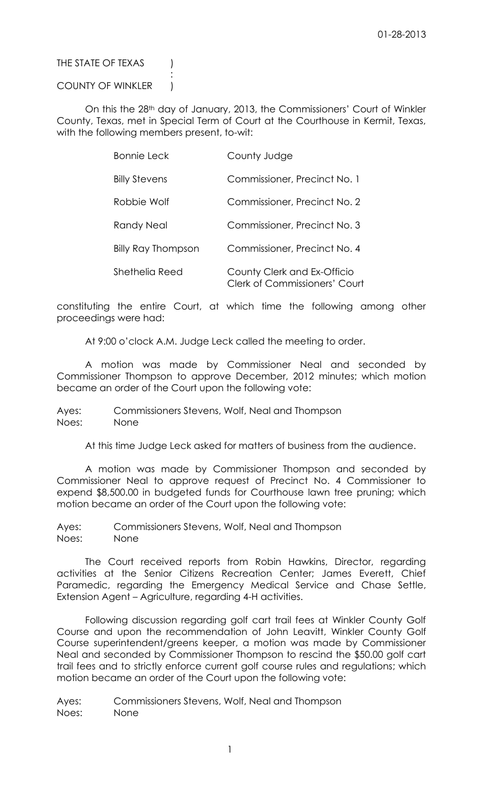THE STATE OF TEXAS (

COUNTY OF WINKLER |

:

On this the 28<sup>th</sup> day of January, 2013, the Commissioners' Court of Winkler County, Texas, met in Special Term of Court at the Courthouse in Kermit, Texas, with the following members present, to-wit:

| <b>Bonnie Leck</b>        | County Judge                                                        |
|---------------------------|---------------------------------------------------------------------|
| <b>Billy Stevens</b>      | Commissioner, Precinct No. 1                                        |
| Robbie Wolf               | Commissioner, Precinct No. 2                                        |
| Randy Neal                | Commissioner, Precinct No. 3                                        |
| <b>Billy Ray Thompson</b> | Commissioner, Precinct No. 4                                        |
| Shethelia Reed            | County Clerk and Ex-Officio<br><b>Clerk of Commissioners' Court</b> |

constituting the entire Court, at which time the following among other proceedings were had:

At 9:00 o'clock A.M. Judge Leck called the meeting to order.

A motion was made by Commissioner Neal and seconded by Commissioner Thompson to approve December, 2012 minutes; which motion became an order of the Court upon the following vote:

Ayes: Commissioners Stevens, Wolf, Neal and Thompson Noes: None

At this time Judge Leck asked for matters of business from the audience.

A motion was made by Commissioner Thompson and seconded by Commissioner Neal to approve request of Precinct No. 4 Commissioner to expend \$8,500.00 in budgeted funds for Courthouse lawn tree pruning; which motion became an order of the Court upon the following vote:

Ayes: Commissioners Stevens, Wolf, Neal and Thompson Noes: None

The Court received reports from Robin Hawkins, Director, regarding activities at the Senior Citizens Recreation Center; James Everett, Chief Paramedic, regarding the Emergency Medical Service and Chase Settle, Extension Agent – Agriculture, regarding 4-H activities.

Following discussion regarding golf cart trail fees at Winkler County Golf Course and upon the recommendation of John Leavitt, Winkler County Golf Course superintendent/greens keeper, a motion was made by Commissioner Neal and seconded by Commissioner Thompson to rescind the \$50.00 golf cart trail fees and to strictly enforce current golf course rules and regulations; which motion became an order of the Court upon the following vote:

Ayes: Commissioners Stevens, Wolf, Neal and Thompson Noes: None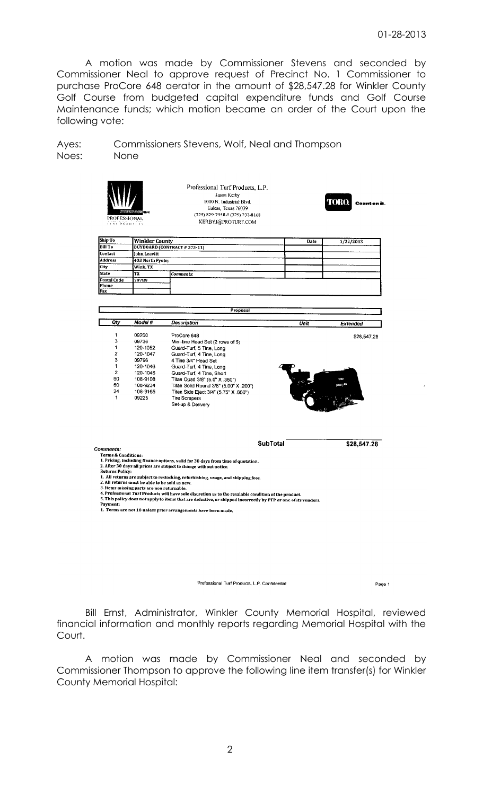A motion was made by Commissioner Stevens and seconded by Commissioner Neal to approve request of Precinct No. 1 Commissioner to purchase ProCore 648 aerator in the amount of \$28,547.28 for Winkler County Golf Course from budgeted capital expenditure funds and Golf Course Maintenance funds; which motion became an order of the Court upon the following vote:

Ayes: Commissioners Stevens, Wolf, Neal and Thompson Noes: None

| PROFESSIONAL<br><b>THE R. P. LEWIS CO., LANSING MICH.</b>                                 |                                                                                                                      | Professional Turf Products, L.P.<br>Jason Kerby<br>1010 N. Industrial Blvd.<br>Euless, Texas 76039<br>(325) 829-7958 // (325) 232-8168<br>KERBYJ@PROTURF.COM                                                                                                                                                                                                                                                                                                           |                 | Count on it. |
|-------------------------------------------------------------------------------------------|----------------------------------------------------------------------------------------------------------------------|------------------------------------------------------------------------------------------------------------------------------------------------------------------------------------------------------------------------------------------------------------------------------------------------------------------------------------------------------------------------------------------------------------------------------------------------------------------------|-----------------|--------------|
| Ship To                                                                                   | Winkler County                                                                                                       |                                                                                                                                                                                                                                                                                                                                                                                                                                                                        | Date            |              |
| <b>Bill To</b>                                                                            |                                                                                                                      | <b>BUYBOARD (CONTRACT #373-11)</b>                                                                                                                                                                                                                                                                                                                                                                                                                                     |                 | 1/22/2013    |
| Contact                                                                                   | Iohn Leavitt                                                                                                         |                                                                                                                                                                                                                                                                                                                                                                                                                                                                        |                 |              |
| Address                                                                                   | 403 North Pyote;                                                                                                     |                                                                                                                                                                                                                                                                                                                                                                                                                                                                        |                 |              |
| City                                                                                      | Wink, TX                                                                                                             |                                                                                                                                                                                                                                                                                                                                                                                                                                                                        |                 |              |
| <b>State</b>                                                                              | TX                                                                                                                   | Comments:                                                                                                                                                                                                                                                                                                                                                                                                                                                              |                 |              |
| Postal Code                                                                               | 79789                                                                                                                |                                                                                                                                                                                                                                                                                                                                                                                                                                                                        |                 |              |
| Phone                                                                                     |                                                                                                                      |                                                                                                                                                                                                                                                                                                                                                                                                                                                                        |                 |              |
| Fax                                                                                       |                                                                                                                      |                                                                                                                                                                                                                                                                                                                                                                                                                                                                        |                 |              |
|                                                                                           |                                                                                                                      | Proposal                                                                                                                                                                                                                                                                                                                                                                                                                                                               |                 |              |
| Qty                                                                                       | Model #                                                                                                              | Description                                                                                                                                                                                                                                                                                                                                                                                                                                                            | Unit            | Extended     |
| 1<br>3<br>1<br>$\overline{\mathbf{c}}$<br>3<br>1<br>$\overline{2}$<br>60<br>60<br>24<br>1 | 09200<br>09736<br>120-1052<br>120-1047<br>09796<br>120-1046<br>120-1045<br>108-9108<br>108-9234<br>108-9165<br>09225 | ProCore 648<br>Mini-tine Head Set (2 rows of 5)<br>Guard-Turf, 5 Tine, Long<br>Guard-Turf, 4 Tine, Long<br>4 Tine 3/4" Head Set<br>Guard-Turf, 4 Tine, Long<br>Guard-Turf, 4 Tine, Short<br>Titan Quad 3/8" (5.0" X .360")<br>Titan Solid Round 3/8" (5.00" X .200")<br>Titan Side Eject 3/4" (5.75" X .660")<br><b>Tire Scrapers</b><br>Set-up & Delivery                                                                                                             |                 | \$28.547.28  |
| Comments:<br><b>Terms &amp; Conditions:</b><br><b>Returns Policy:</b><br>Payment:         | 2. All returns must be able to be sold as new.<br>3. Items missing parts are non returnable.                         | 1. Pricing, including finance options, valid for 30 days from time of quotation.<br>2. After 30 days all prices are subject to change without notice.<br>1. All returns are subject to restocking, refurbishing, usage, and shipping fees.<br>4. Professional Turf Products will have sole discretion as to the resalable condition of the product.<br>5. This policy does not apply to items that are defective, or shipped incorrectly by PTP or one of its vendors. | <b>SubTotal</b> | \$28,547.28  |
|                                                                                           |                                                                                                                      | 1. Terms are net 10 unless prior arrangements have been made.                                                                                                                                                                                                                                                                                                                                                                                                          |                 |              |

Professional Turf Products, L.P. Confidential

Page 1

Bill Ernst, Administrator, Winkler County Memorial Hospital, reviewed financial information and monthly reports regarding Memorial Hospital with the Court.

A motion was made by Commissioner Neal and seconded by Commissioner Thompson to approve the following line item transfer(s) for Winkler County Memorial Hospital: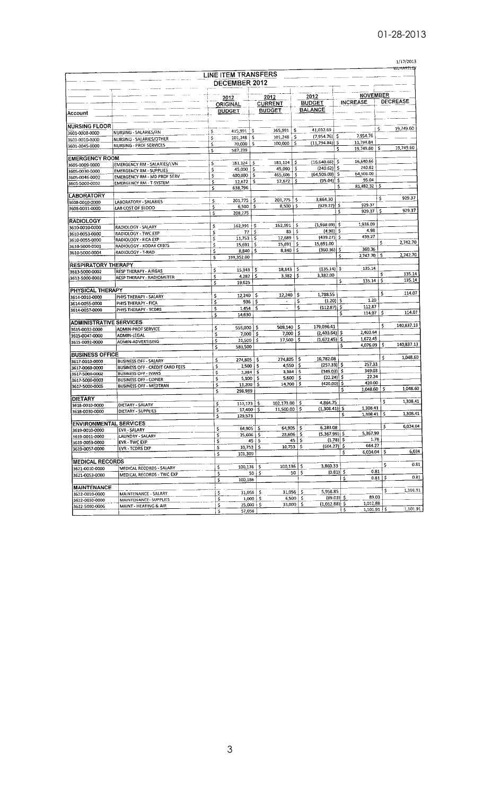|  |  |  | 1/17/2013 |  |
|--|--|--|-----------|--|
|  |  |  |           |  |

| <b>LINE ITEM TRANSFERS</b><br>DECEMBER 2012<br>2012<br>2012<br>2012<br><b>BUDGET</b><br><b>CURRENT</b><br>ORIGINAL<br><b>BALANCE</b><br><b>BUDGET</b><br><b>BUDGET</b><br>Account<br><b>NURSING FLOOR</b><br>41,032.69<br>365,991<br>\$.<br>415,991<br>\$<br>\$<br>3601-0008-0000<br>NURSING - SALARIES/RN<br>(7,954.76)<br>101,248<br>-S<br>\$<br>101,248<br>\$<br>NURSING - SALARIES/OTHER<br>3601-0010-0000<br>(11,794.84)] \$<br>\$<br>100,000<br>\$<br>70,000<br>s<br><b>NURSING - PROF SERVICES</b><br>3601-0045-0000<br>587,239<br>\$<br><b>EMERGENCY ROOM</b> |                     | <b>NOVEMBER</b><br><b>INCREASE</b> |      |                 |
|-----------------------------------------------------------------------------------------------------------------------------------------------------------------------------------------------------------------------------------------------------------------------------------------------------------------------------------------------------------------------------------------------------------------------------------------------------------------------------------------------------------------------------------------------------------------------|---------------------|------------------------------------|------|-----------------|
|                                                                                                                                                                                                                                                                                                                                                                                                                                                                                                                                                                       |                     |                                    |      |                 |
|                                                                                                                                                                                                                                                                                                                                                                                                                                                                                                                                                                       |                     |                                    |      |                 |
|                                                                                                                                                                                                                                                                                                                                                                                                                                                                                                                                                                       |                     |                                    |      |                 |
|                                                                                                                                                                                                                                                                                                                                                                                                                                                                                                                                                                       |                     |                                    |      | <b>DECREASE</b> |
|                                                                                                                                                                                                                                                                                                                                                                                                                                                                                                                                                                       |                     |                                    |      |                 |
|                                                                                                                                                                                                                                                                                                                                                                                                                                                                                                                                                                       |                     |                                    |      |                 |
|                                                                                                                                                                                                                                                                                                                                                                                                                                                                                                                                                                       |                     |                                    | \$   | 19,749.60       |
|                                                                                                                                                                                                                                                                                                                                                                                                                                                                                                                                                                       | -S                  | 7,954.76                           |      |                 |
|                                                                                                                                                                                                                                                                                                                                                                                                                                                                                                                                                                       |                     | 11,794.84                          |      |                 |
|                                                                                                                                                                                                                                                                                                                                                                                                                                                                                                                                                                       | \$                  | 19,749.60                          | \$   | 19,749.60       |
| $(16,640.66)$ \$                                                                                                                                                                                                                                                                                                                                                                                                                                                                                                                                                      |                     | 16,640.66                          |      |                 |
| 181,124 \$<br>181,124<br>\$<br>\$<br>EMERGENCY RM - SALARIES/LVN<br>3605-0009-0000<br>\$<br>(240.62) \$                                                                                                                                                                                                                                                                                                                                                                                                                                                               |                     | 240.62                             |      |                 |
| 45,000<br>\$<br>\$<br>45,000<br><b>EMERGENCY RM - SUPPLIES</b><br>3605-0030-0000<br>$(64,506.00)$ \$<br>\$                                                                                                                                                                                                                                                                                                                                                                                                                                                            |                     | 64,506.00                          |      |                 |
| \$<br>465,606<br>400,000<br>\$<br>EMERGENCY RM - MD PROF SERV<br>3605-0046-0000<br>\$.<br>12,672                                                                                                                                                                                                                                                                                                                                                                                                                                                                      | $(95.04)$ \$        | 95.04                              |      |                 |
| \$<br>\$<br>12,672<br><b>EMERGENCY RM - T-SYSTEM</b><br>3605-5000-0002<br>`\$<br>638,796                                                                                                                                                                                                                                                                                                                                                                                                                                                                              | \$                  | 81,482.32 \$                       |      |                 |
| <b>LABORATORY</b>                                                                                                                                                                                                                                                                                                                                                                                                                                                                                                                                                     |                     |                                    |      |                 |
| \$<br>3,864.30<br>\$<br>201,775<br>201,775<br>\$<br>LABORATORY - SALARIES<br>3608-0010-0000                                                                                                                                                                                                                                                                                                                                                                                                                                                                           |                     |                                    | \$   | 929.37          |
| \$<br>8,500<br>\$<br>\$<br>6,500<br>LAB COST OF BLOOD<br>3608-0031-0000                                                                                                                                                                                                                                                                                                                                                                                                                                                                                               | $(929.37)$ \$<br>\$ | 929.37<br>929.37                   | s    | 929.37          |
| \$<br>208,275                                                                                                                                                                                                                                                                                                                                                                                                                                                                                                                                                         |                     |                                    |      |                 |
| <b>RADIOLOGY</b><br>$(1,938.09)$ \$<br>162,991<br>\$<br>162,991<br>\$<br>\$                                                                                                                                                                                                                                                                                                                                                                                                                                                                                           |                     | 1,938.09                           |      |                 |
| RADIOLOGY - SALARY<br>3610-0010-0000<br>\$<br>\$<br>83<br>\$<br>77                                                                                                                                                                                                                                                                                                                                                                                                                                                                                                    | \$<br>(4.98)        | 4.98                               |      |                 |
| RADIOLOGY - TWC EXP<br>3610-0053-0000<br>(439.27)<br>12,689<br>Ś<br>11,753<br>\$<br>\$                                                                                                                                                                                                                                                                                                                                                                                                                                                                                | -\$                 | 439.27                             |      |                 |
| RADIOLOGY - FICA EXP<br>3610-0055-0000<br>15.691.00<br>\$<br>15,691<br>15,691<br>\$<br>\$                                                                                                                                                                                                                                                                                                                                                                                                                                                                             |                     |                                    | \$   | 2,742.70        |
| RADIOLOGY - KODAK CR975<br>3610-5000-0001<br>(360.36)<br>8,840<br>\$<br>8,840<br>s<br>\$                                                                                                                                                                                                                                                                                                                                                                                                                                                                              | \$                  | 360.36                             |      |                 |
| RADIOLOGY - T-RAD<br>3610-5000-0004<br>199,352.00<br>\$                                                                                                                                                                                                                                                                                                                                                                                                                                                                                                               | Ŝ                   | 2,742.70                           | \$   | 2,742.70        |
| <b>RESPIRATORY THERAPY</b>                                                                                                                                                                                                                                                                                                                                                                                                                                                                                                                                            |                     |                                    |      |                 |
| (135.14)<br>18,843<br>\$<br>$15,343$   \$<br>\$<br><b>RESP THERAPY - AIRGAS</b><br>3613-5000-0002                                                                                                                                                                                                                                                                                                                                                                                                                                                                     | \$                  | 135.14                             |      |                 |
| \$<br>3,382.00<br>3,382<br>4,282<br>\$<br>\$<br>RESP THERAPY - RADIOMETER<br>3613-5000-0003                                                                                                                                                                                                                                                                                                                                                                                                                                                                           |                     |                                    | \$   | 135.14          |
| $\overline{\mathsf{s}}$<br>19,625                                                                                                                                                                                                                                                                                                                                                                                                                                                                                                                                     | \$                  | 135.14                             | Š.   | 135.14          |
| PHYSICAL THERAPY                                                                                                                                                                                                                                                                                                                                                                                                                                                                                                                                                      |                     |                                    |      |                 |
| 1,788.55<br>\$<br>12,240<br>12,240<br>\$<br>\$<br>PHYS THERAPY - SALARY<br>3614-0010-0000                                                                                                                                                                                                                                                                                                                                                                                                                                                                             |                     |                                    | Ś.   | 114.07          |
| \$<br>936<br>\$<br>\$<br>PHYS THERAPY - FICA<br>3614-0055-0000                                                                                                                                                                                                                                                                                                                                                                                                                                                                                                        | (1.20)<br>- 5       | 1.20                               |      |                 |
| Ś<br>\$<br>1,454<br>\$<br>÷,<br>PHYS THERAPY - TCDRS<br>3614-0057-0000                                                                                                                                                                                                                                                                                                                                                                                                                                                                                                | $(112.87)$ \$       | 112.87<br>$114.07$ \$              |      | 114.07          |
| \$<br>14,630                                                                                                                                                                                                                                                                                                                                                                                                                                                                                                                                                          |                     | s                                  |      |                 |
| <b>ADMINISTRATIVE SERVICES</b>                                                                                                                                                                                                                                                                                                                                                                                                                                                                                                                                        |                     |                                    | \$   | 140,837.13      |
| $508,140$ \$<br>179,096.41<br>\$<br>\$<br>555,000<br><b>ADMIN-PROF SERVICE</b><br>3615-0032-0000                                                                                                                                                                                                                                                                                                                                                                                                                                                                      | $(2,403.64)$ \$     | 2,403.64                           |      |                 |
| \$<br>7,000<br>\$<br>7,000<br>\$<br>ADMIN-LEGAL<br>3615-0047-0000                                                                                                                                                                                                                                                                                                                                                                                                                                                                                                     | $(1,672.45)$ \$     | 1,672.45                           |      |                 |
| \$<br>17,500<br>\$<br>21,500<br>\$<br>ADMIN-ADVERTISING<br>3615-0092-0000                                                                                                                                                                                                                                                                                                                                                                                                                                                                                             |                     | 4,076.09<br>\$                     | \$   | 140,837.13      |
| $\overline{\mathsf{s}}$<br>583,500                                                                                                                                                                                                                                                                                                                                                                                                                                                                                                                                    |                     |                                    |      |                 |
| <b>BUSINESS OFFICE</b><br>\$<br>16,782.08<br>274,805<br>274,805<br>\$                                                                                                                                                                                                                                                                                                                                                                                                                                                                                                 |                     |                                    |      | 1,048.60        |
| \$<br><b>BUSINESS OFF - SALARY</b><br>3617-0010-0000<br>\$<br>4,550<br>2,500<br>\$                                                                                                                                                                                                                                                                                                                                                                                                                                                                                    | $(257.33)$ \$       | 257.33                             |      |                 |
| \$<br><b>BUSINESS OFF - CREDIT CARD FEES</b><br>3617-0060-0000<br>3,384<br>\$<br>\$<br>3,384<br>\$<br><b>BUSINESS OFF - IVANS</b>                                                                                                                                                                                                                                                                                                                                                                                                                                     | (349.03)            | 349.03<br>\$                       |      |                 |
| 3617-5000-0002<br>\$<br>5,600<br>5,100<br>\$<br>\$<br><b>BUSINESS OFF - COPIER</b>                                                                                                                                                                                                                                                                                                                                                                                                                                                                                    | (22.24)             | 22.24<br>\$                        |      |                 |
| 3617-5000-0003<br>Ś<br>14,700<br>-\$<br>\$<br>13,200<br><b>BUSINESS OFF - MEDTRAN</b><br>3617-5000-0005                                                                                                                                                                                                                                                                                                                                                                                                                                                               | $(420.00)$ \$       | 420.00                             |      |                 |
| 298,989<br>s                                                                                                                                                                                                                                                                                                                                                                                                                                                                                                                                                          |                     | 1,048.60<br>s                      | \$   | 1,048.60        |
| DIETARY                                                                                                                                                                                                                                                                                                                                                                                                                                                                                                                                                               |                     |                                    |      | 1,308.41        |
| 4,864.75<br>112,173<br>\$<br>102.173.00<br>\$<br>\$<br>DIETARY - SALARY<br>3618-0010-0000                                                                                                                                                                                                                                                                                                                                                                                                                                                                             |                     |                                    | \$   |                 |
| \$<br>\$.<br>11,500.00<br>17,400<br>\$<br>DIETARY - SUPPLIES<br>3618-0030-0000                                                                                                                                                                                                                                                                                                                                                                                                                                                                                        | $(1,308.41)$ \$     | 1,308.41<br>1,308.41<br>\$         | -5   | 1,308.41        |
| 129,573<br>\$                                                                                                                                                                                                                                                                                                                                                                                                                                                                                                                                                         |                     |                                    |      |                 |
| <b>ENVIRONMENTAL SERVICES</b><br>64,905<br>\$<br>$64,905$ \$<br>Ş                                                                                                                                                                                                                                                                                                                                                                                                                                                                                                     | 6,283.08            |                                    | \$   | 6,034.04        |
| 3619-0010-0000<br><b>EVR - SALARY</b><br>\$<br>28,606<br>\$<br>\$<br>25,606<br>LAUNDRY - SALARY                                                                                                                                                                                                                                                                                                                                                                                                                                                                       | $(5,367.99)$ \$     | 5,367.99                           |      |                 |
| 3619-0011-0000<br>45 $\sqrt{5}$<br>\$<br>45<br>\$.<br><b>EVR-TWC EXP</b><br>3619-0053-0000                                                                                                                                                                                                                                                                                                                                                                                                                                                                            | $(1.78)$ \$         | 1.78                               |      |                 |
| 10,753<br>۱\$<br>\$<br>\$<br>10,753<br><b>EVR - TCDRS EXP</b><br>3619-0057-0000                                                                                                                                                                                                                                                                                                                                                                                                                                                                                       | $(664.27)$ \$       | 664.27                             |      |                 |
| 101,309<br>\$                                                                                                                                                                                                                                                                                                                                                                                                                                                                                                                                                         |                     | 6,034.04<br>\$                     | \$   | 6,034           |
| <b>MEDICAL RECORDS</b>                                                                                                                                                                                                                                                                                                                                                                                                                                                                                                                                                |                     |                                    |      |                 |
| \$<br>100,136<br>\$<br>100,136<br>-\$<br>MEDICAL RECORDS - SALARY<br>3621-0010-0000                                                                                                                                                                                                                                                                                                                                                                                                                                                                                   | 3,860.33            |                                    | \$   | 0.81            |
| \$<br>50  <br>\$<br>50<br>\$<br>MEDICAL RECORDS - TWC EXP<br>3621-0053-0000                                                                                                                                                                                                                                                                                                                                                                                                                                                                                           | $(0.81)$ \$         | 0.81                               | \$   | 0.81            |
| 100,186<br>\$                                                                                                                                                                                                                                                                                                                                                                                                                                                                                                                                                         |                     | \$                                 | 0.81 |                 |
| <b>MAINTENANCE</b>                                                                                                                                                                                                                                                                                                                                                                                                                                                                                                                                                    | 5,958.85            |                                    |      | 1,101.91        |
| 31,056<br>-5<br>$31,056$   \$<br>\$<br>MAINTENANCE - SALARY<br>3622-0010-0000<br>\$<br>$1,000$ 5                                                                                                                                                                                                                                                                                                                                                                                                                                                                      | (89.03) \$          | 89.03                              |      |                 |
| 6,500<br>\$<br>MAINTENANCE- SUPPLIES<br>3622-0030-0000<br>33,000<br>-\$<br>25,000 \ \$                                                                                                                                                                                                                                                                                                                                                                                                                                                                                | $(1,012.88)$ \$     | 1,012.88                           |      |                 |
| \$<br>MAINT - HEATING & AIR<br>3622-5000-0006<br>¢<br>57,056                                                                                                                                                                                                                                                                                                                                                                                                                                                                                                          |                     | \$<br>1,101.91   \$                |      | 1,101.91        |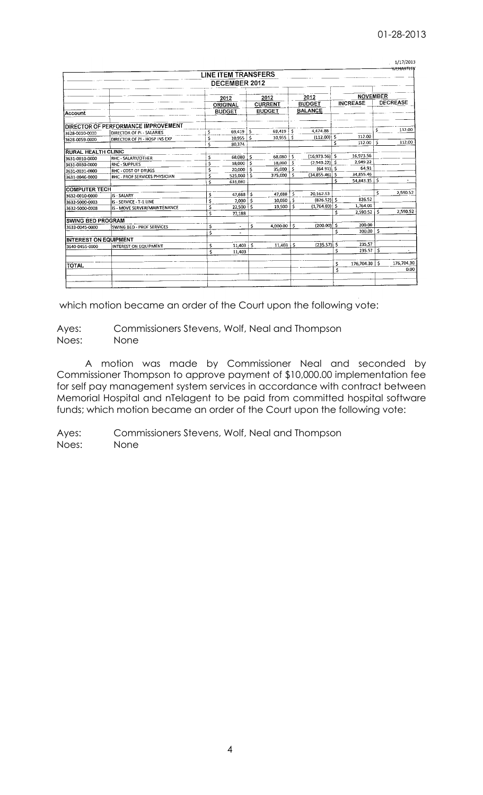|  |  |  | חלו |  |
|--|--|--|-----|--|
|  |  |  |     |  |

|                              |                                     |    | LINE ITEM TRANSFERS |      |                |      |                  |    |                           |              | <del>WINKTLE</del> |
|------------------------------|-------------------------------------|----|---------------------|------|----------------|------|------------------|----|---------------------------|--------------|--------------------|
|                              |                                     |    | DECEMBER 2012       |      |                |      |                  |    |                           |              |                    |
|                              |                                     |    | 2012                | 2012 |                | 2012 |                  |    | <b>NOVEMBER</b>           |              |                    |
|                              |                                     |    | ORIGINAL            |      | <b>CURRENT</b> |      | <b>BUDGET</b>    |    | <b>INCREASE</b>           |              | DECREASE           |
| Account                      |                                     |    | <b>BUDGET</b>       |      | <b>BUDGET</b>  |      | <b>BALANCE</b>   |    |                           |              |                    |
|                              | DIRECTOR OF PERFORMANCE IMPROVEMENT |    |                     |      |                |      |                  |    |                           |              |                    |
| 3628-0010-0000               | <b>DIRECTOR OF PL- SALARIES</b>     |    | 69,419              | -Ś   | 69,419         | .s   | 4,474.88         |    |                           | \$           | 112.00             |
| 3628-0059-0000               | DIRECTOR OF PL-HOSP INS EXP         | \$ | $10,955$ \$         |      | 10,955         | ١s   | $(112.00)$ \$    |    | 112.00                    |              |                    |
|                              |                                     | Ś  | 80,374              |      |                |      |                  | Ś  | 112.00                    | S.           | 112.00             |
| <b>RURAL HEALTH CLINIC</b>   |                                     |    |                     |      |                |      |                  |    |                           |              |                    |
| 3631-0010-0000               | RHC - SALARY/OTHER                  | \$ | 68,080              | s    | 68,080         | Ŝ    | $(16,973.56)$ \$ |    | 16,973.56                 |              |                    |
| 3631-0030-0000               | <b>RHC - SUPPLIES</b>               | Ś  | 18,000              | Ś    | 18,000         | .s   | $(2,949.22)$ \$  |    | 2,949.22                  |              |                    |
| 3631-0031-0000               | RHC - COST OF DRUGS                 | \$ | 20,000              |      | 35,000 \$      |      | $(64.91)$ \$     |    | 64.91                     |              |                    |
| 3631-0046-0000               | RHC - PROF SERVICES PHYSICIAN       | Ś  | 525,000             | \$   | 375,000        | Ŝ.   | $(34,855.46)$ \$ | Ś  | 34,855.46<br>54,843.15 \$ |              |                    |
|                              |                                     | Ś  | 631.080             |      |                |      |                  |    |                           |              |                    |
| <b>ICOMPUTER TECH</b>        |                                     |    |                     |      |                |      |                  |    |                           | <sup>s</sup> | 2,590.52           |
| 3632-0010-0000               | IS - SALARY                         |    | 47,688              | Ś    | 47,688         | Ś    | 20.162.53        |    | 826.52                    |              |                    |
| 3632-5000-0003               | IS - SERVICE - T-1 LINE             | Ś  | 7.000               | s    | 10,050         | S    | $(826.52)$ \$    |    | 1,764.00                  |              |                    |
| 3632-5000-0008               | IS - MOVE SERVER/MAINTENANCE        | Ś  | 22.500              | .s   | 19.500         | Ś    | $(1,764.00)$ \$  |    | 2.590.52                  | Ŝ            | 2,590.52           |
|                              |                                     | Ś  | 77,188              |      |                |      |                  | s  |                           |              |                    |
| <b>ISWING BED PROGRAM</b>    |                                     |    |                     |      |                |      |                  |    | 200.00                    |              |                    |
| 3633-0045-0000               | SWING BED - PROF SERVICES           | Ś  | ÷                   | \$   | 4,000.00       | .s   | $(200.00)$ \$    | Ś  | 200.00                    | \$           |                    |
|                              |                                     | Ś  |                     |      |                |      |                  |    |                           |              |                    |
| <b>INTEREST ON EQUIPMENT</b> |                                     |    |                     |      |                |      |                  |    | 235.57                    |              |                    |
| 3640-0455-0000               | INTEREST ON EQUIPMENT               | Ś  | 11,403              | Ŝ.   | 11,403         | i \$ | $(235.57)$ \$    |    | 235.57                    | .s           |                    |
|                              |                                     | Ś  | 11,403              |      |                |      |                  | Ś  |                           |              |                    |
|                              |                                     |    |                     |      |                |      |                  | \$ | 176,704.30   \$           |              | 176,704.30         |
| <b>TOTAL</b>                 |                                     |    |                     |      |                |      |                  | Ś  |                           |              | 0.00               |
|                              |                                     |    |                     |      |                |      |                  |    |                           |              |                    |
|                              |                                     |    |                     |      |                |      |                  |    |                           |              |                    |
|                              |                                     |    |                     |      |                |      |                  |    |                           |              |                    |

which motion became an order of the Court upon the following vote:

Ayes: Commissioners Stevens, Wolf, Neal and Thompson Noes: None

A motion was made by Commissioner Neal and seconded by Commissioner Thompson to approve payment of \$10,000.00 implementation fee for self pay management system services in accordance with contract between Memorial Hospital and nTelagent to be paid from committed hospital software funds; which motion became an order of the Court upon the following vote:

Ayes: Commissioners Stevens, Wolf, Neal and Thompson Noes: None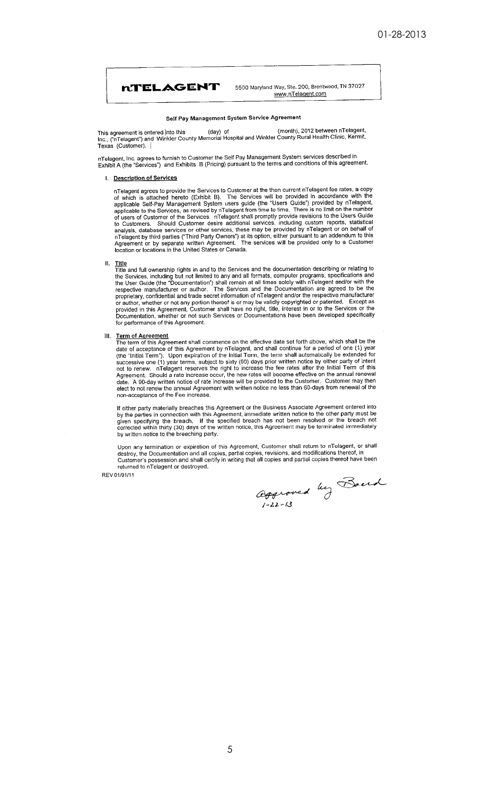

5500 Maryland Way, Ste. 200, Brentwood, TN 37027 www.nTelagent.com

#### Self Pay Management System Service Agreement

This agreement is entered into this (day) of (month), 2012 between nTelagent,<br>Inc., ("nTelagent") and Winkler County Memorial Hospital and Winkler County Rural Health Clinic, Kermit, Texas (Customer).

nTelagent, Inc. agrees to furnish to Customer the Self Pay Management System services described in<br>Exhibit A (the "Services") and Exhibits B (Pricing) pursuant to the terms and conditions of this agreement.

#### I. Description of Services

nTelagent agrees to provide the Services to Customer at the then current nTelagent fee rates, a copy<br>of which is attached hereto (Exhibit B). The Services will be provided in accordance with the<br>applicable Self-Pay Managem to Customers. Should Customer desire adminimiles services, including cases in the analysis, database services or other services, these may be provided by a Telagent or on behalf of a Telagent by third parties ("Third Party

H.

Title<br>Title and full ownership rights in and to the Services and the documentation describing or relating to<br>the Services, including but not limited to any and all formats, computer programs, specifications and<br>the User Gu respective manufacturer or atunoi. The servetes and the bocumentation are agreed to the respective manufacturer<br>propietary, confidential and trade secret information of nTelagent and/or the respective manufacturer<br>or autho for performance of this Agreement.

#### Ш. **Term of Agreement**

The term of this Agreement shall commence on the effective date set forth above, which shall be the date of acceptance of this Agreement by nTelagent, and shall continue for a period of one (1) year<br>(the "Initial Term"). Upon expiration of the Initial Term, the term shall automatically be extended for (the time items). Upon expiration of the final and earn since the bullet notice by either partly of interts<br>successive one (1) year terms, subject to sixty (60) days prior withen notice by either partly of intert<br>not to re non-acceptance of the Fee increase.

If either party materially breaches this Agreement or the Business Associate Agreement entered into<br>by the parties in connection with this Agreement, immediate written notice to the other party must be given specifying the breach. If the specified breach has not been resolved or the breach not<br>corrected within thirty (30) days of the written notice, this Agreement may be terminated immediately by written notice to the breeching party.

Upon any termination or expiration of this Agreement, Customer shall return to nTelagent, or shall destroy, the Documentation and all copies, partial copies, revisions, and modifications thereof, in Customer's possession a returned to nTelagent or destroyed.

REV 01/01/11

aggroved by Board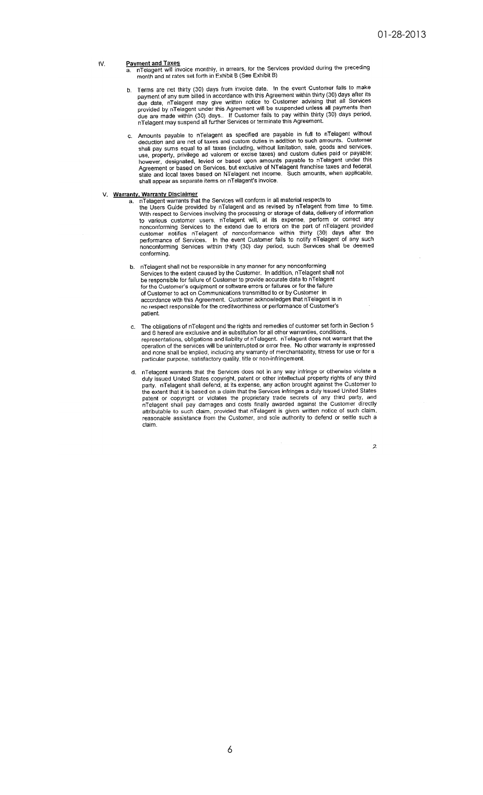#### IV.

- Payment and Taxes<br>a. nTelagent will invoice monthly, in arrears, for the Services provided during the preceding<br>month and at rates set forth in Exhibit B (See Exhibit B)
- Terms are net thirty (30) days from invoice date. In the event Customer fails to make Terms are net thirty (30) days from invoice date. In the event Customer fails to make payment of any sum billed in accordance with this Agreement within thirty (30) days after its due date, nTelagent may give written notic  $b$ .
- Amounts payable to nTelagent as specified are payable in full to nTelagent without deduction and are net of taxes and custom duties in addition to such amounts. Customer dequation and are net of taxes and custom duties in addition to such amounts. Customer<br>shall pay sums equal to all taxes (including, without limitation, sale, goods and services,<br>use, property, privilege ad valorem or exci shall appear as separate items on nTelagent's invoice.

- V. Warranty, Warranty Disclaimer<br>a. nTelagent warrants that the Services will conform in all material respects to<br>the Users Guide provided by nTelagent and as revised by nTelagent from time to time.<br>With respect to Service conformina.
	- b. nTelagent shall not be responsible in any manner for any nonconforming<br>Services to the extent caused by the Customer. In addition, nTelagent shall not<br>be responsible for failure of Customer to provide accurate data to n be responsible for the Customer's equipment or software errors or failures or for the failure<br>of Customer's equipment or software errors or failures or for the failure<br>of Customer to act on Communications transmitted to or accordance with this Agreement. Customer acknowledges that nTelagent is in no respect responsible for the creditworthiness or performance of Customer's patient.
	- The obligations of nTelagent and the rights and remedies of customer set forth in Section 5 and 6 hereof are exclusive and in substitution for all other warranties, conditions,  $c_{n}$ and or necessarily control and individual measurement of the second proposentations, obligations and liability of nTelagent. In Telagent does not warrant that the operation of the services will be uninterrupted or error fr of an one shall be implied, including any warranty of merchantability, fitness for use or for a<br>particular purpose, satisfactory quality, title or non-infringement.
	- d. nTelagent warrants that the Services does not in any way infringe or otherwise violate a recognition to the intellectual property rights of any third<br>party. nTelagent shall defend, at its expense, any action brought against the Customer to plany. The leader that it is based on a claim that the Services infringes a duly issued United States<br>the extent that it is based on a claim that the Services infringes a duly issued United States<br>patent or copyright or vi reasonable assistance from the Customer, and sole authority to defend or settle such a claim.

 $\overline{z}$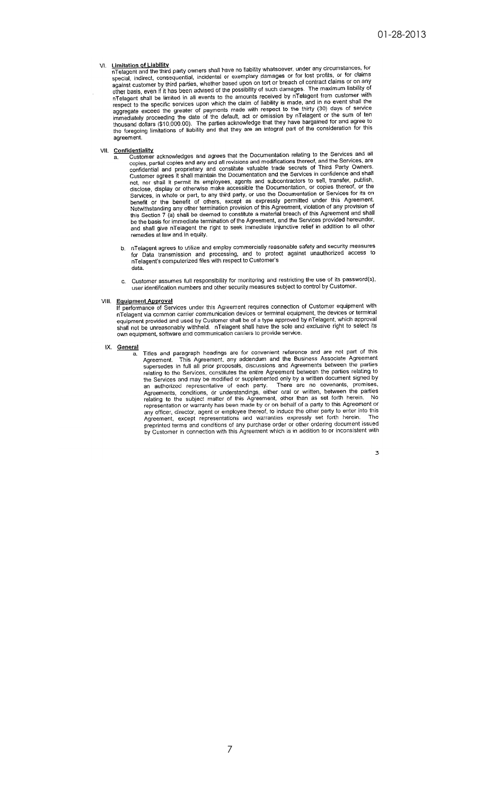#### VI.

**Limitation of Liability**<br>
in Telagent and the third party owners shall have no liability whatsoever, under any circumstances, for<br>
special, indirect, consequential, incidental or exemplary damages or for lost profits, or against customer by third parties, whether based upon on tort or breach of contract claims or on any<br>other basis, even if it has been advised of the possibility of such damages. The maximum liability of<br>an Telagent shall b agreement.

- VII. **Confidentiality**<br>a. Customer acknowledges and agrees that the Documentation relating to the Services and all<br>copies, partial copies and any and all revisions and modifications thereof, and the Services, are<br>confident and shall give nTelagent the right to seek immediate injunctive relief in addition to all other remedies at law and in equity.
	- b. nTelagent agrees to utilize and employ commercially reasonable safety and security measures<br>for Data transmission and processing, and to protect against unauthorized access to<br>nTelagent's computerized files with respect data.
	- Customer assumes full responsibility for monitoring and restricting the use of its password(s), user identification numbers and other security measures subject to control by Customer. c.

a.

- VIII. **Equipment Approval**<br>If performance of Services under this Agreement requires connection of Customer equipment with<br>nTelagent via common carrier communication devices or terminal equipment, the devices or terminal<br>in equipment provided and used by Customer shall be of a type approved by nTelagent, which approval<br>shall not be unreasonably withheld. nTelagent shall have the sole and exclusive right to select its own equipment, software and communication carriers to provide service.
- IX. General

Titles and paragraph headings are for convenient reference and are not part of this Agreement. This Agreement, any addendum and the Business Associate Agreement supersedes in full all prior proposals, discussions and Agree Agreement, except representations and warranties expressly set forth herein. The preprinted terms and conditions of any purchase order or other ordering document issued by Customer in connection with this Agreement which is in addition to or inconsistent with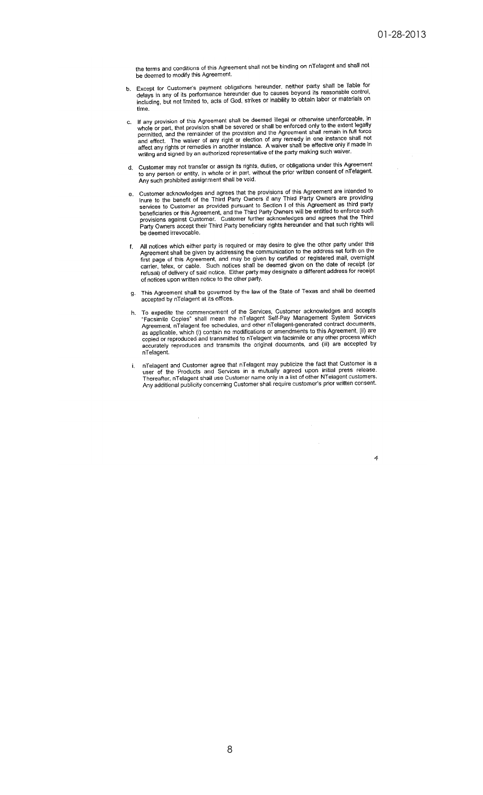the terms and conditions of this Agreement shall not be binding on nTelagent and shall not be deemed to modify this Agreement.

- Except for Customer's payment obligations hereunder, neither party shall be liable for delays in any of its performance hereunder due to causes beyond its reasonable control, including, but not limited to, acts of God, str b. time
- If any provision of this Agreement shall be deemed illegal or otherwise unenforceable, in<br>whole or part, that provision shall be severed or shall be enforced only to the extent legally<br>permitted, and the remainder of the p c.
- Customer may not transfer or assign its rights, duties, or obligations under this Agreement<br>to any person or entity, in whole or in part, without the prior written consent of nTelagent.<br>Any such prohibited assignment shall d.
- Customer acknowledges and agrees that the provisions of this Agreement are intended to inure to the benefit of the Third Party Owners if any Third Party Owners are providing services to Customer as provided pursuant to Sec e. beneficiaries to Customer as provided pursuant to Cooler For an Fig. Selfield to enforce such<br>provisions against Customer. Customer further acknowledges and agrees that the Third<br>Party Owners accept their Third Party benef be deemed irrevocable.
- All notices which either party is required or may desire to give the other party under this Agreement shall be given by addressing the communication to the address set forth on the first page of this Agreement, and may be f.
- g. This Agreement shall be governed by the law of the State of Texas and shall be deemed accepted by nTelagent at its offices.
- To expedite the commencement of the Services, Customer acknowledges and accepts h. To expedite the commencement of the services, customer acknowledges and acceptor-<br>"Facsimile Copies" shall mean the nTelagent Self-Pay Management System Services<br>Agreement, nTelagent fee schedules, and other nTelagent-gene accurately reproduces and transmits the original documents, and (iii) are accepted by nTelagent.
- nTelagent and Customer agree that nTelagent may publicize the fact that Customer is a user of the Products and Services in a mutually agreed upon initial press release.<br>Thereafter, nTelagent shall use Customer name only in i.

 $\ddot{\phantom{a}}$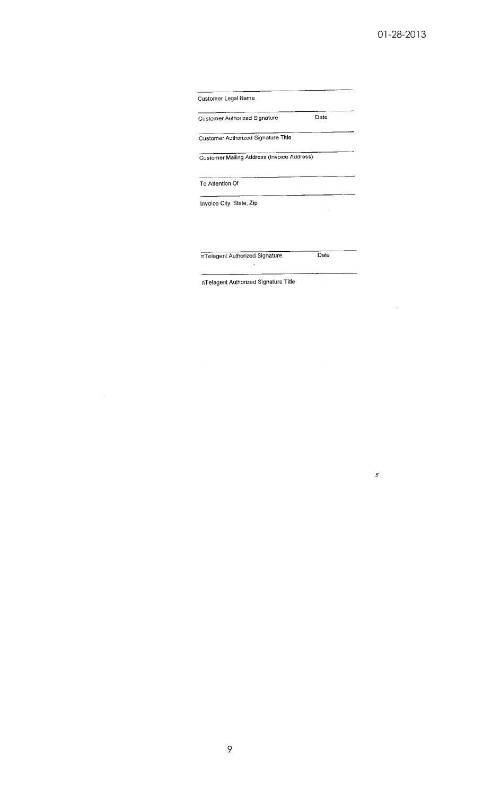| <b>Customer Authorized Signature</b>       | Date |
|--------------------------------------------|------|
| Customer Authorized Signature Title        |      |
| Customer Mailing Address (Invoice Address) |      |
| To Attention Of                            |      |

nTelagent Authorized Signature

 $\overline{Date}$ 

 $\boldsymbol{s}$ 

 $\hat{\mathcal{A}}$ 

nTelagent Authorized Signature Title

 $\ddot{\phantom{a}}$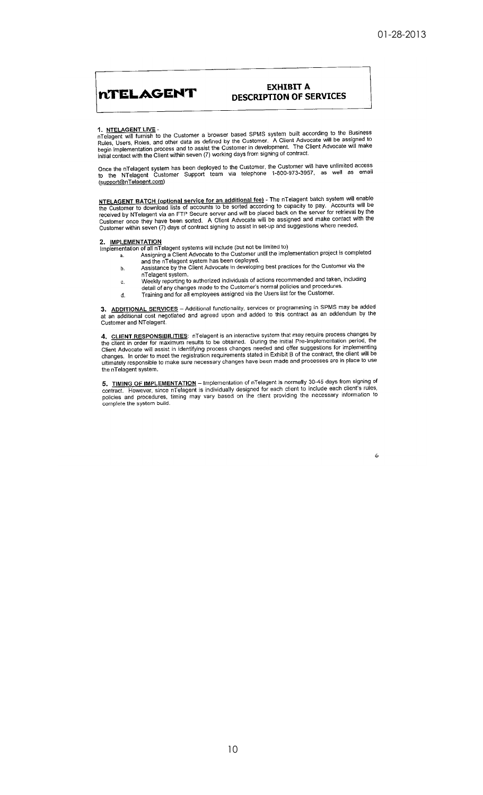# **NTELAGENT**

## **EXHIBIT A DESCRIPTION OF SERVICES**

1. NTELAGENT LIVE -<br>nTelagent will furnish to the Customer a browser based SPMS system built according to the Business<br>Rules, Users, Roles, and other data as defined by the Customer. A Client Advocate will be assigned to<br>b

Once the nTelagent system has been deployed to the Customer, the Customer will have unlimited access to the NTelagent Customer Support team via telephone 1-800-973-3957, as well as email (support@nTelagent.com)

NTELAGENT BATCH (optional service for an additional fee) - The nTelagent batch system will enable<br>the Customer to download lists of accounts to be sorted according to capacity to pay. Accounts will be<br>received by NTelagent Customer within seven (7) days of contract signing to assist in set-up and suggestions where needed.

#### 2. IMPLEMENTATION

- **2.** IMPLEMENTATION<br>
Implementation of all nTelagent systems will include (but not be limited to)<br>
a. Assigning a Client Advocate to the Customer until the implementation project is completed<br>
and the nTelagent system has
	- nTelagent system.
	- Weekly reporting to authorized individuals of actions recommended and taken, including<br>detail of any changes made to the Customer's normal policies and procedures. c.
	-
	- Training and for all employees assigned via the Users list for the Customer.  $\overline{d}$ .

3. ADDITIONAL SERVICES - Additional functionality, services or programming in SPMS may be added at an additional cost negotiated and agreed upon and added to this contract as an addendum by the Customer and NTelagent.

4. CLIENT RESPONSIBILITIES: nTelagent is an interactive system that may require process changes by the client in order for maximum results to be obtained. During the initial Pre-Implementation period, the Client Advocate w

5. TIMING OF IMPLEMENTATION – Implementation of nTelagent is normally 30-45 days from signing of contract. However, since nTelagent is individually designed for each client to include each client's rules, policies and proc complete the system build.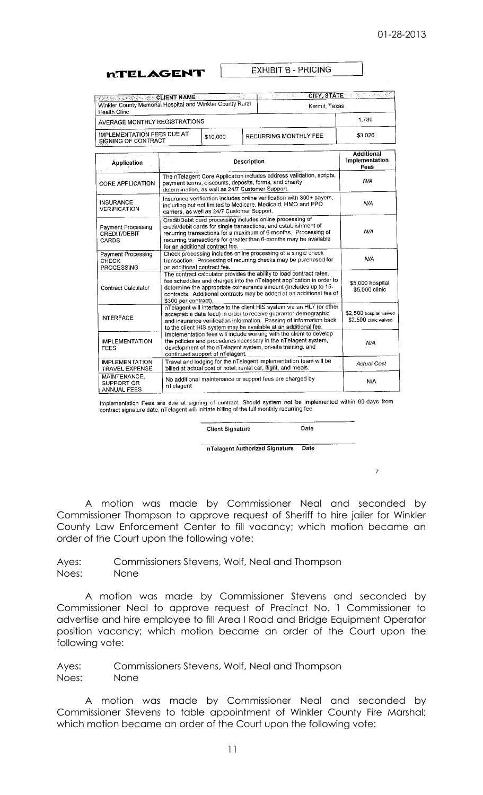**MTELAGENT** 

**EXHIBIT B - PRICING** 

| <b>MERCHAN TAN TAN TAN TAN ET AL ART AL ART AL ART AL ART AL ART AL ART AL ART AL ART AL ART AL ART AL ART AL ART A</b><br>Winkler County Memorial Hospital and Winkler County Rural | Kermit, Texas                           |
|--------------------------------------------------------------------------------------------------------------------------------------------------------------------------------------|-----------------------------------------|
| Health Clinc                                                                                                                                                                         |                                         |
| AVERAGE MONTHLY REGISTRATIONS                                                                                                                                                        | 1.780                                   |
| IMPLEMENTATION FEES DUE AT<br>\$10,000<br>SIGNING OF CONTRACT                                                                                                                        | \$3.026<br><b>RECURRING MONTHLY FEE</b> |

| Application                                               | Description                                                                                                                                                                                                                                                                                                      | Implementation<br><b>Fees</b>                    |
|-----------------------------------------------------------|------------------------------------------------------------------------------------------------------------------------------------------------------------------------------------------------------------------------------------------------------------------------------------------------------------------|--------------------------------------------------|
| <b>CORE APPLICATION</b>                                   | The nTelagent Core Application includes address validation, scripts,<br>payment terms, discounts, deposits, forms, and charity<br>determination, as well as 24/7 Customer Support.                                                                                                                               | N/A                                              |
| <b>INSURANCE</b><br><b>VERIFICATION</b>                   | Insurance verification includes online verification with 300+ payers,<br>including but not limited to Medicare, Medicaid, HMO and PPO<br>carriers, as well as 24/7 Customer Support.                                                                                                                             | N/A                                              |
| Payment Processing<br><b>CREDIT/DEBIT</b><br><b>CARDS</b> | Credit/Debit card processing includes online processing of<br>credit/debit cards for single transactions, and establishment of<br>recurring transactions for a maximum of 6-months. Processing of<br>recurring transactions for greater than 6-months may be available<br>for an additional contract fee.        | N/A                                              |
| Payment Processing<br><b>CHECK</b><br>PROCESSING          | Check processing includes online processing of a single check<br>transaction. Processing of recurring checks may be purchased for<br>an additional contract fee.                                                                                                                                                 | N/A                                              |
| Contract Calculator                                       | The contract calculator provides the ability to load contract rates,<br>fee schedules and charges into the nTelagent application in order to<br>determine the appropriate coinsurance amount (Includes up to 15-<br>contracts. Additional contracts may be added at an additional fee of<br>\$300 per contract). | \$5.000 hospital<br>\$5,000 clinic               |
| <b>INTERFACE</b>                                          | nTelagent will interface to the client HIS system via an HL7 (or other<br>acceptable data feed) in order to receive guarantor demographic<br>and insurance verification information. Passing of information back<br>to the client HIS system may be available at an additional fee.                              | \$2,500 hospital waived<br>\$2,500 clinic waived |
| <b>IMPLEMENTATION</b><br>FEES                             | Implementation fees will include working with the client to develop<br>the policies and procedures necessary in the nTelagent system,<br>development of the nTelagent system, on-site training, and<br>continued support of nTelagent.                                                                           | N/A                                              |
| <b>IMPLEMENTATION</b><br><b>TRAVEL EXPENSE</b>            | Travel and lodging for the nTelagent implementation team will be<br>billed at actual cost of hotel, rental car, flight, and meals.                                                                                                                                                                               | <b>Actual Cost</b>                               |
| MAINTENANCE.<br>SUPPORT OR<br><b>ANNUAL FEES</b>          | No additional maintenance or support fees are charged by<br>nTelagent                                                                                                                                                                                                                                            | N/A                                              |

Implementation Fees are due at signing of contract. Should system not be implemented within 60-days from contract signature date, nTelagent will initiate billing of the full monthly recurring fee.

**Client Signature** 

nTelagent Authorized Signature Date

Date

7

A motion was made by Commissioner Neal and seconded by Commissioner Thompson to approve request of Sheriff to hire jailer for Winkler County Law Enforcement Center to fill vacancy; which motion became an order of the Court upon the following vote:

Ayes: Commissioners Stevens, Wolf, Neal and Thompson Noes: None

A motion was made by Commissioner Stevens and seconded by Commissioner Neal to approve request of Precinct No. 1 Commissioner to advertise and hire employee to fill Area I Road and Bridge Equipment Operator position vacancy; which motion became an order of the Court upon the following vote:

Ayes: Commissioners Stevens, Wolf, Neal and Thompson Noes: None

A motion was made by Commissioner Neal and seconded by Commissioner Stevens to table appointment of Winkler County Fire Marshal; which motion became an order of the Court upon the following vote: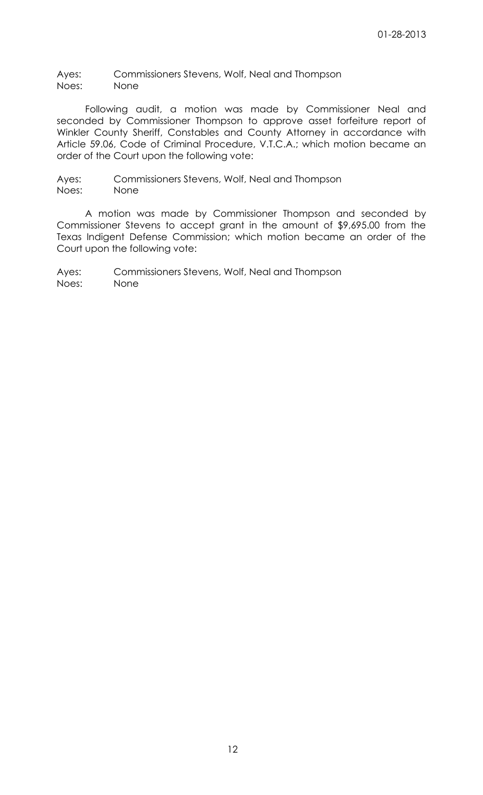Ayes: Commissioners Stevens, Wolf, Neal and Thompson Noes: None

Following audit, a motion was made by Commissioner Neal and seconded by Commissioner Thompson to approve asset forfeiture report of Winkler County Sheriff, Constables and County Attorney in accordance with Article 59.06, Code of Criminal Procedure, V.T.C.A.; which motion became an order of the Court upon the following vote:

Ayes: Commissioners Stevens, Wolf, Neal and Thompson Noes: None

A motion was made by Commissioner Thompson and seconded by Commissioner Stevens to accept grant in the amount of \$9,695.00 from the Texas Indigent Defense Commission; which motion became an order of the Court upon the following vote:

Ayes: Commissioners Stevens, Wolf, Neal and Thompson Noes: None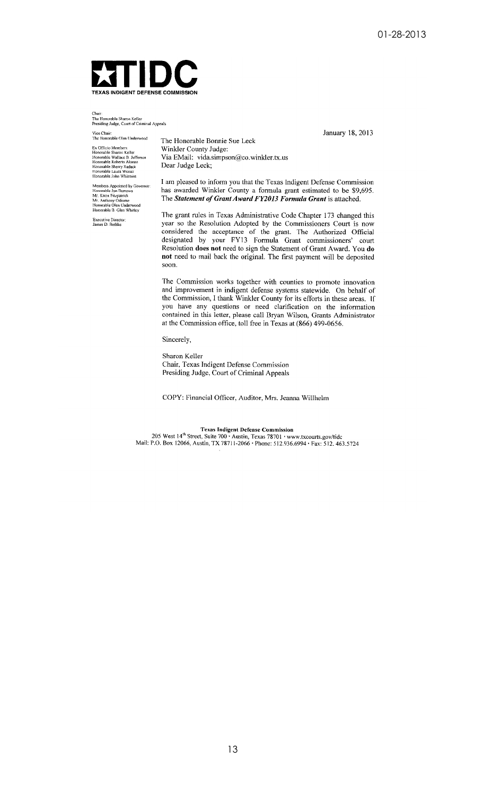January 18, 2013



Chair:<br>The Honorable Sharon Keller<br>Presiding Judge, Court of Criminal Appeals

Vice Chair:<br>The Honorable Olen Underwood

Ex Officio Members:<br>Honorable Sharon Keller<br>Honorable Wallace B. Jefferson<br>Honorable Roberto Alonzo<br>Honorable Sherry Radack<br>Honorable Laura Weiser<br>Honorable John Whitmire

Members Appointed by Governor<br>Honorable Jon Burrows Honorable Jon Burrows<br>Mr. Knox Fitzpatrick<br>Mr. Anthony Odiorne<br>Honorable Den Underwood<br>Honorable B. Glen Whitley

Executive Director:<br>James D. Bethke

The Honorable Bonnie Sue Leck Winkler County Judge: Via EMail: vida.simpson@co.winkler.tx.us Dear Judge Leck;

I am pleased to inform you that the Texas Indigent Defense Commission has awarded Winkler County a formula grant estimated to be \$9,695. The Statement of Grant Award FY2013 Formula Grant is attached.

The grant rules in Texas Administrative Code Chapter 173 changed this year so the Resolution Adopted by the Commissioners Court is now considered the acceptance of the grant. The Authorized Official<br>designated by your FY13 Formula Grant commissioners' court Resolution does not need to sign the Statement of Grant Award. You do not need to mail back the original. The first payment will be deposited soon.

The Commission works together with counties to promote innovation and improvement in indigent defense systems statewide. On behalf of the Commission, I thank Winkler County for its efforts in these areas. If you have any questions or need clarification on the information contained in this letter, please call Bryan Wilson, Grants Administrator at the Commission office, toll free in Texas at (866) 499-0656.

Sincerely,

Sharon Keller Chair, Texas Indigent Defense Commission Presiding Judge, Court of Criminal Appeals

COPY: Financial Officer, Auditor, Mrs. Jeanna Willhelm

**Texas Indigent Defense Commission** 1 Exas Indigent Detellise Commission<br>205 West 14<sup>th</sup> Street, Suite 700 · Austin, Texas 78701 · www.txcourts.gov/tide<br>Mail: P.O. Box 12066, Austin, TX 78711-2066 · Phone: 512.936.6994 · Fax: 512. 463.5724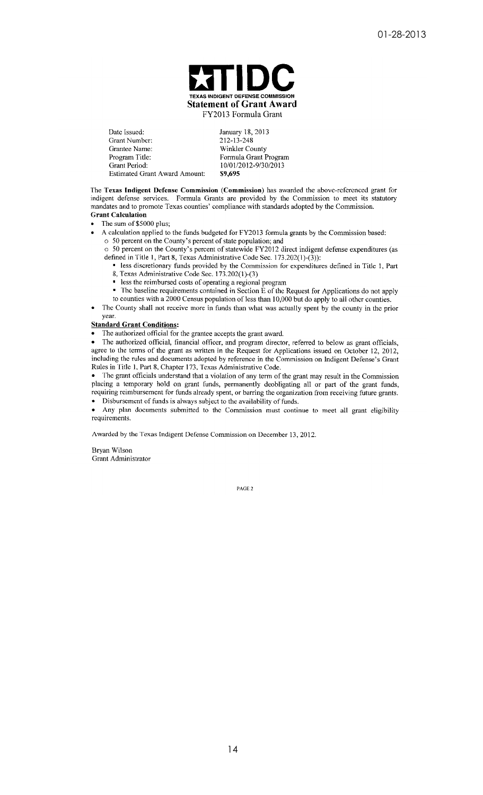

Date Issued: Grant Number: Grantee Name: Program Title: Grant Period: **Estimated Grant Award Amount:**  January 18, 2013 212-13-248 Winkler County Formula Grant Program 10/01/2012-9/30/2013 \$9.695

The Texas Indigent Defense Commission (Commission) has awarded the above-referenced grant for indigent defense services. Formula Grants are provided by the Commission to meet its statutory mandates and to promote Texas counties' compliance with standards adopted by the Commission. **Grant Calculation** 

The sum of \$5000 plus;

A calculation applied to the funds budgeted for FY2013 formula grants by the Commission based:

o 50 percent on the County's percent of state population; and 50 percent on the County's percent of statewide FY2012 direct indigent defense expenditures (as  $\circ$ defined in Title 1, Part 8, Texas Administrative Code Sec.  $173.202(1)-(3)$ :

less discretionary funds provided by the Commission for expenditures defined in Title 1, Part 8, Texas Administrative Code Sec. 173.202(1)-(3)

less the reimbursed costs of operating a regional program

The baseline requirements contained in Section E of the Request for Applications do not apply to counties with a 2000 Census population of less than 10,000 but do apply to all other counties.

The County shall not receive more in funds than what was actually spent by the county in the prior year.

#### **Standard Grant Conditions:**

The authorized official for the grantee accepts the grant award.

• The authorized official, financial officer, and program director, referred to below as grant officials, agree to the terms of the grant as written in the Request for Applications issued on October 12, 2012, including the rules and documents adopted by reference in the Commission on Indigent Defense's Grant Rules in Title 1, Part 8, Chapter 173, Texas Administrative Code.

The grant officials understand that a violation of any term of the grant may result in the Commission placing a temporary hold on grant funds, permanently deobligating all or part of the grant funds, requiring reimbursement for funds already spent, or barring the organization from receiving future grants. • Disbursement of funds is always subject to the availability of funds.

Any plan documents submitted to the Commission must continue to meet all grant eligibility requirements.

Awarded by the Texas Indigent Defense Commission on December 13, 2012.

Bryan Wilson Grant Administrator

PAGE<sub>2</sub>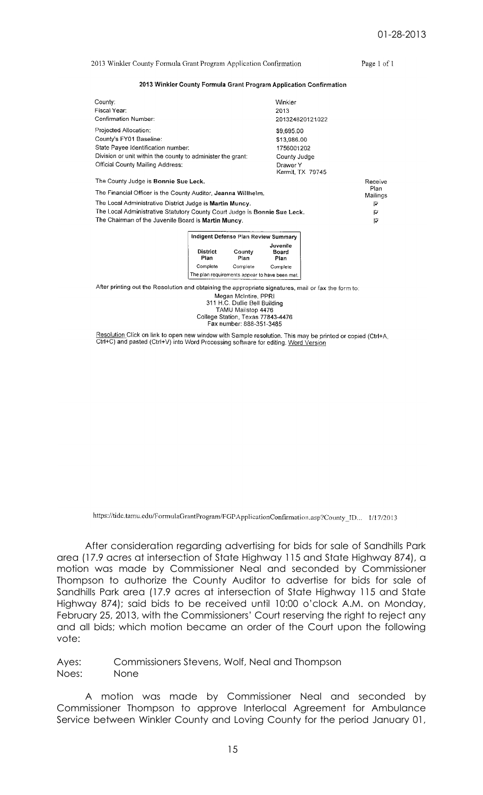2013 Winkler County Formula Grant Program Application Confirmation

Page 1 of 1

#### 2013 Winkler County Formula Grant Program Application Confirmation

| Countv:                                                                   | Winkler                      |         |  |  |  |
|---------------------------------------------------------------------------|------------------------------|---------|--|--|--|
| Fiscal Year:                                                              | 2013                         |         |  |  |  |
| Confirmation Number:                                                      | 201324820121022              |         |  |  |  |
| Projected Allocation:                                                     | \$9,695.00                   |         |  |  |  |
| County's FY01 Baseline:                                                   | \$13,986.00                  |         |  |  |  |
| State Payee Identification number:                                        | 1756001202                   |         |  |  |  |
| Division or unit within the county to administer the grant:               | County Judge                 |         |  |  |  |
| Official County Mailing Address:                                          | Drawer Y<br>Kermit, TX 79745 |         |  |  |  |
| The County Judge is Bonnie Sue Leck.                                      |                              | Receive |  |  |  |
| The Financial Officer is the County Auditor, Jeanna Willhelm.             |                              |         |  |  |  |
| The Local Administrative District Judge is Martin Muncy.                  |                              |         |  |  |  |
| The Local Administrative Statutory County Court Judge is Bonnie Sue Leck. |                              |         |  |  |  |
| The Chairman of the Juvenile Board is Martin Muncy.                       |                              | レ       |  |  |  |
|                                                                           |                              |         |  |  |  |

|                                                       | Indigent Defense Plan Review Summary |                                  |  |  |  |
|-------------------------------------------------------|--------------------------------------|----------------------------------|--|--|--|
| District<br>Plan                                      | County<br>Plan                       | Juvenile<br><b>Board</b><br>Plan |  |  |  |
| Complete                                              | Complete                             | Complete                         |  |  |  |
| The plan requirements appear to have been met. $\mid$ |                                      |                                  |  |  |  |

After printing out the Resolution and obtaining the appropriate signatures, mail or fax the form to:

Megan McIntire, PPRI<br>311 H.C. Dullie Bell Building TAMU Mailstop 4476<br>College Station, Texas 77843-4476<br>Fax number: 888-351-3485

Resolution Click on link to open new window with Sample resolution. This may be printed or copied (Ctrl+A, Ctrl+C) and pasted (Ctrl+V) into Word Processing software for editing. Word Version

https://tide.tamu.edu/FormulaGrantProgram/FGPApplicationConfirmation.asp?County ID... 1/17/2013

After consideration regarding advertising for bids for sale of Sandhills Park area (17.9 acres at intersection of State Highway 115 and State Highway 874), a motion was made by Commissioner Neal and seconded by Commissioner Thompson to authorize the County Auditor to advertise for bids for sale of Sandhills Park area (17.9 acres at intersection of State Highway 115 and State Highway 874); said bids to be received until 10:00 o'clock A.M. on Monday, February 25, 2013, with the Commissioners' Court reserving the right to reject any and all bids; which motion became an order of the Court upon the following vote:

Ayes: Commissioners Stevens, Wolf, Neal and Thompson Noes: None

A motion was made by Commissioner Neal and seconded by Commissioner Thompson to approve Interlocal Agreement for Ambulance Service between Winkler County and Loving County for the period January 01,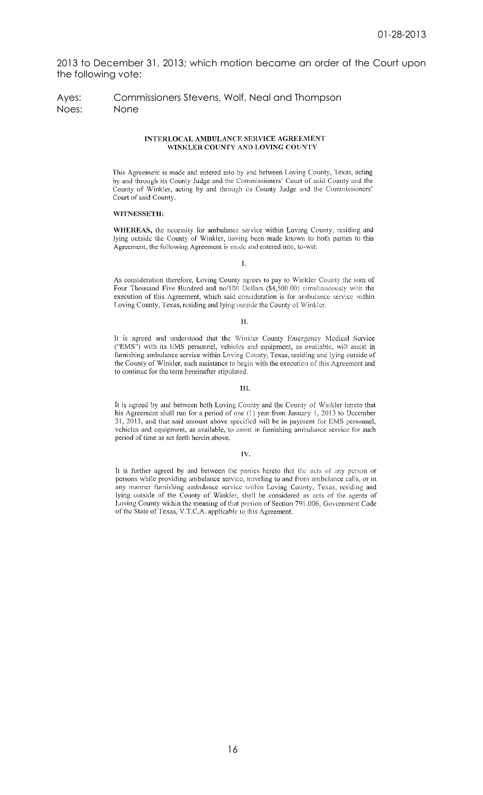2013 to December 31, 2013; which motion became an order of the Court upon the following vote:

## Ayes: Commissioners Stevens, Wolf, Neal and Thompson Noes: None

#### **INTERLOCAL AMBULANCE SERVICE AGREEMENT** WINKLER COUNTY AND LOVING COUNTY

This Agreement is made and entered into by and between Loving County, Texas, acting by and through its County Judge and the Commissioners' Court of said County and the County of Winkler, acting by and through its County Judge and the Commissioners' Court of said County.

## WITNESSETH.

WHEREAS, the necessity for ambulance service within Loving County, residing and lying outside the County of Winkler, having been made known to both parties to this Agreement, the following Agreement is made and entered into, to-wit:

Ī.

As consideration therefore, Loving County agrees to pay to Winkler County the sum of Four Thousand Five Hundred and no/100 Dollars (\$4,500.00) simultaneously with the execution of this Agreement, which said consideration is for ambulance service within Loving County, Texas, residing and lying outside the County of Winkler.

## $\overline{\mathbf{H}}$

It is agreed and understood that the Winkler County Emergency Medical Service ("EMS") with its EMS personnel, vehicles and equipment, as available, will assist in furnishing ambulance service within Loving County, Texas, residing and lying outside of the County of Winkler, such assistance to begin with the execution of this Agreement and to continue for the term hereinafter stipulated.

#### III.

It is agreed by and between both Loving County and the County of Winkler hereto that his Agreement shall run for a period of one (1) year from January 1, 2013 to December 31, 2013, and that said amount above specified will be in payment for EMS personnel, vehicles and equipment, as available, to assist in furnishing ambulance service for such period of time as set forth herein above.

#### IV.

It is further agreed by and between the parties hereto that the acts of any person or persons while providing ambulance service, traveling to and from ambulance calls, or in any manner furnishing ambulance service within Loving County, Texas, residing and lying outside of the County of Winkler, shall be considered as acts of the agents of Loving County within the meaning of that portion of Section 791.006, Government Code of the State of Texas, V.T.C.A. applicable to this Agreement.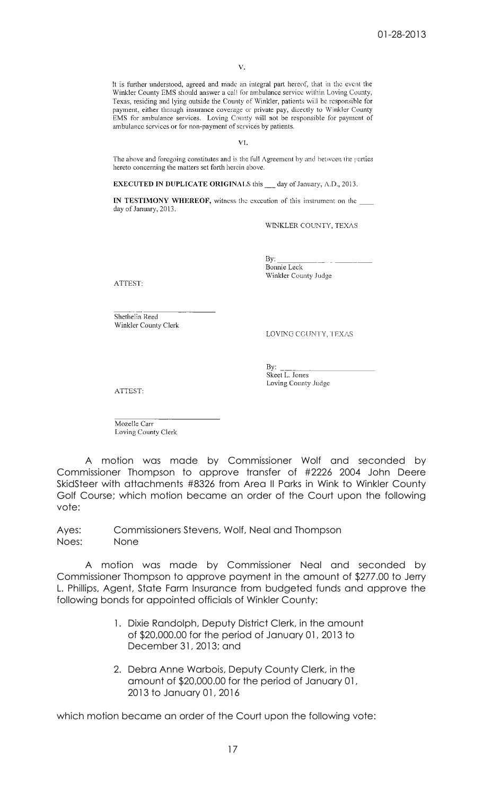It is further understood, agreed and made an integral part hereof, that in the event the Winkler County EMS should answer a call for ambulance service within Loving County, Texas, residing and lying outside the County of Winkler, patients will be responsible for payment, either through insurance coverage or private pay, directly to Winkler County EMS for ambulance services. Loving County will not be responsible for payment of ambulance services or for non-payment of services by patients.

VL.

The above and foregoing constitutes and is the full Agreement by and between the parties hereto concerning the matters set forth herein above.

**EXECUTED IN DUPLICATE ORIGINALS** this day of January, A.D., 2013.

IN TESTIMONY WHEREOF, witness the execution of this instrument on the day of January, 2013.

WINKLER COUNTY, TEXAS

By: Bonnie Leck Winkler County Judge

**ATTEST:** 

Shethelia Reed Winkler County Clerk

LOVING COUNTY, TEXAS

By: Skeet L. Jones Loving County Judge

ATTEST:

Mozelle Carr Loving County Clerk

A motion was made by Commissioner Wolf and seconded by Commissioner Thompson to approve transfer of #2226 2004 John Deere SkidSteer with attachments #8326 from Area II Parks in Wink to Winkler County Golf Course; which motion became an order of the Court upon the following vote:

Ayes: Commissioners Stevens, Wolf, Neal and Thompson Noes: None

A motion was made by Commissioner Neal and seconded by Commissioner Thompson to approve payment in the amount of \$277.00 to Jerry L. Phillips, Agent, State Farm Insurance from budgeted funds and approve the following bonds for appointed officials of Winkler County:

- 1. Dixie Randolph, Deputy District Clerk, in the amount of \$20,000.00 for the period of January 01, 2013 to December 31, 2013; and
- 2. Debra Anne Warbois, Deputy County Clerk, in the amount of \$20,000.00 for the period of January 01, 2013 to January 01, 2016

which motion became an order of the Court upon the following vote: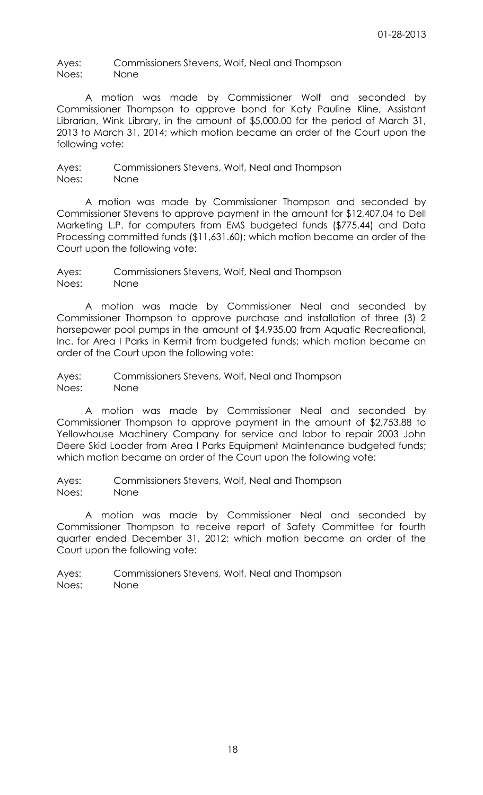Ayes: Commissioners Stevens, Wolf, Neal and Thompson Noes: None

A motion was made by Commissioner Wolf and seconded by Commissioner Thompson to approve bond for Katy Pauline Kline, Assistant Librarian, Wink Library, in the amount of \$5,000.00 for the period of March 31, 2013 to March 31, 2014; which motion became an order of the Court upon the following vote:

Ayes: Commissioners Stevens, Wolf, Neal and Thompson Noes: None

A motion was made by Commissioner Thompson and seconded by Commissioner Stevens to approve payment in the amount for \$12,407.04 to Dell Marketing L.P. for computers from EMS budgeted funds (\$775.44) and Data Processing committed funds (\$11,631.60); which motion became an order of the Court upon the following vote:

Ayes: Commissioners Stevens, Wolf, Neal and Thompson Noes: None

A motion was made by Commissioner Neal and seconded by Commissioner Thompson to approve purchase and installation of three (3) 2 horsepower pool pumps in the amount of \$4,935.00 from Aquatic Recreational, Inc. for Area I Parks in Kermit from budgeted funds; which motion became an order of the Court upon the following vote:

Ayes: Commissioners Stevens, Wolf, Neal and Thompson Noes: None

A motion was made by Commissioner Neal and seconded by Commissioner Thompson to approve payment in the amount of \$2,753.88 to Yellowhouse Machinery Company for service and labor to repair 2003 John Deere Skid Loader from Area I Parks Equipment Maintenance budgeted funds; which motion became an order of the Court upon the following vote:

Ayes: Commissioners Stevens, Wolf, Neal and Thompson Noes: None

A motion was made by Commissioner Neal and seconded by Commissioner Thompson to receive report of Safety Committee for fourth quarter ended December 31, 2012; which motion became an order of the Court upon the following vote:

Ayes: Commissioners Stevens, Wolf, Neal and Thompson Noes: None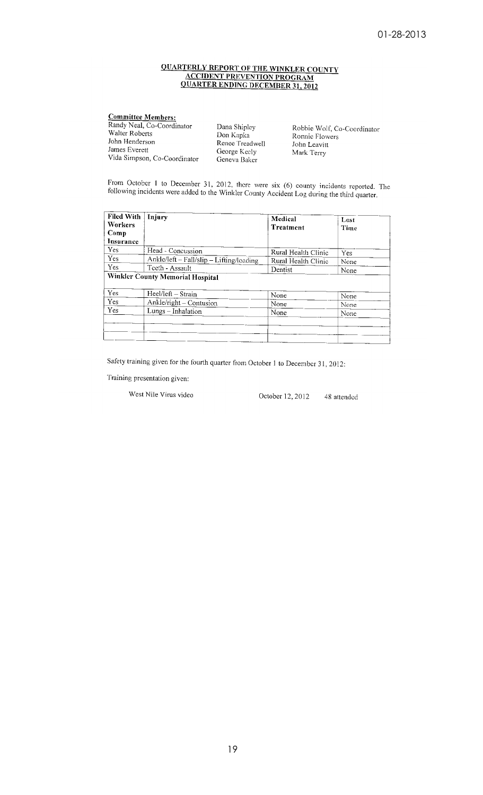# **QUARTERLY REPORT OF THE WINKLER COUNTY<br>ACCIDENT PREVENTION PROGRAM<br>QUARTER ENDING DECEMBER 31, 2012**

| <b>Committee Members:</b>    |                 |
|------------------------------|-----------------|
| Randy Neal, Co-Coordinator   | Dana Shipley    |
| Walter Roberts               | Don Kapka       |
| John Henderson               | Renee Treadwell |
| James Everett                | George Keely    |
| Vida Simpson, Co-Coordinator | Geneva Baker    |

Robbie Wolf, Co-Coordinator Ronnie Flowers John Leavitt<br>Mark Terry

From October 1 to December 31, 2012, there were six  $(6)$  county incidents reported. The following incidents were added to the Winkler County Accident Log during the third quarter.

| <b>Filed With</b><br>Workers<br>Comp | Injury                                   | Medical<br>Treatment | Lost<br>Time |
|--------------------------------------|------------------------------------------|----------------------|--------------|
| Insurance                            |                                          |                      |              |
| Yes                                  | Head - Concussion                        | Rural Health Clinic  | Yes          |
| Yes                                  | Ankle/left - Fall/slip - Lifting/loading | Rural Health Clinic  | None         |
| <b>Yes</b>                           | Teeth - Assault                          | Dentist              | None         |
|                                      | Winkler County Memorial Hospital         |                      |              |
| Yes                                  | Heel/left - Strain                       | None                 | None         |
| Yes                                  | Ankle/right – Contusion                  | None                 | None         |
| <b>Yes</b>                           | Lungs - Inhalation                       | None                 | None         |
|                                      |                                          |                      |              |

Safety training given for the fourth quarter from October 1 to December 31, 2012:

Training presentation given:

West Nile Virus video

October 12, 2012 48 attended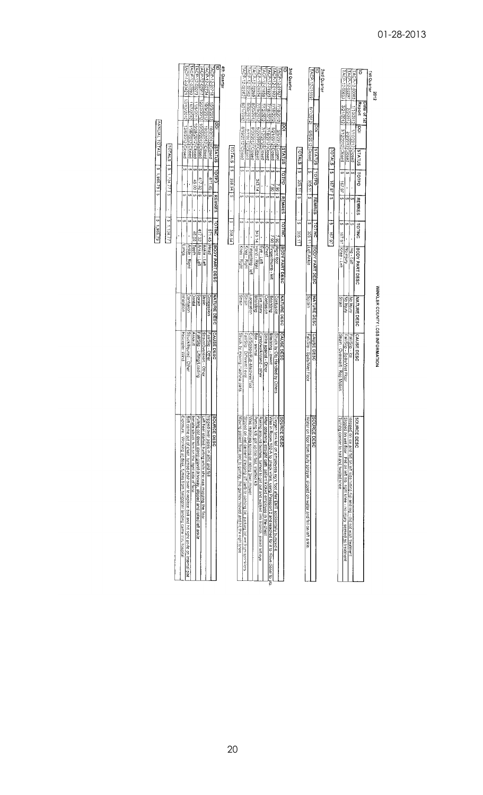| 1st Quarter<br>2012<br>WINKLER COUNTY LOSS INFORMATION                                                                                                                              |                                                                                                |
|-------------------------------------------------------------------------------------------------------------------------------------------------------------------------------------|------------------------------------------------------------------------------------------------|
| ō<br>Report<br>Date of 1st<br>g<br><b>SULLYLIS</b><br>TOTPD<br><b>REMRES</b><br><b>TOTINC</b><br>BODY PART DESC<br><b>NATURE DESC</b><br>CAUSE DESC                                 | SOURCE DESC                                                                                    |
| ACP -: 2:0063<br>1/10/2012<br>Trinizoi2 Closed<br><sub>tn</sub><br>(A<br>G)<br>Hup - Left<br>Nujury<br>Fall/Sip-lce                                                                 | stepped on ice and fell on left side hitting hip and leg - did not wish treatment              |
| TACP-12-0297<br>2/2/2012<br>2222012 Closed<br>3/12/2012 Closed<br>ίω<br>U)<br>,<br>$\omega$<br>No injury<br>No Injury<br>Fall/Slip - Spills/Wet Floor                               | Slipped on wet floor. Fell on left hip, right knee - no injury seeked no treatment             |
| TACP-12-00653<br>3/21/2012<br>ç,<br>46.29<br><sub>S</sub><br>S<br>167.97 Knee - Left<br>Strain<br>Strain - Overexert - Rep Motion                                                   | Turning cornier to hall and twisted knee                                                       |
| <b>TOTALS</b><br>o,<br>167.97<br>ø<br>$\bullet$<br>Ģ<br>16.797                                                                                                                      |                                                                                                |
| 2nd Quarter                                                                                                                                                                         |                                                                                                |
| $\overline{5}$<br>SULVIS<br><b>QallO1</b><br><b>REMRES</b><br>TOTING<br>JBODY PART DESC<br><b>NATURE DESC</b><br>CAUSE DESC                                                         | SOURCE DESC                                                                                    |
| TACP-12-01519<br>6/7/2012<br>6/6/2012 Closed<br>$\epsilon$<br>305.11<br>ø,<br>c,<br>305.11 Left Ankle<br>Sprain<br>Fall/Sip - Spills/Wet Floor                                      | Water on floor from faulty sprayer, slipped on water and fell on left ankle.                   |
| <b>TOTALS</b><br>5<br>305.11<br>$\overline{a}$<br>s,<br>305.11                                                                                                                      |                                                                                                |
| 3rd Quarter                                                                                                                                                                         |                                                                                                |
| DOI<br>SUATUS<br><b>Oddol</b><br><b>REMRES</b><br>TOTING<br>BOOY PART DESC<br><b>NATURE DESC</b><br>CAUSE DESC                                                                      | SouRcE DESC                                                                                    |
| ACP-12-01922<br>TACP-12-01927<br>7/18/2012<br>3/5/2012<br>Ciosed<br>ŧ<br>İs.<br>U<br>1.90<br>Right foot<br>Contusion<br>Struck by Obj Handled by Others                             | Oxygen tank fell on employees ngrit foot after EMT accidentally bumped it.                     |
| FACP-12-01923<br>7/18/2012<br>5/21/2012 Closed<br>Ġ9<br>ē<br>ø<br>$-061$<br>Finger/thumb left<br><b>Brie/sting</b><br>Bite/sting - insect                                           | Was in Room 102-A to check vitals, using Passport 2 and reached for it to move closer to       |
| 7/18/2012<br>7/18/2012 Closed<br>e)<br>69<br><b>Chest</b><br>Contusion<br>Strike against - Other                                                                                    | After obtaining straight cath, patient kicked employee in the chest                            |
| TACP-12-01858<br>FACP-12-01934<br>κι σελετιν<br>Γενοελετιν<br>7/12/2012 Closed<br>ω¦ω<br>e,<br><b>SD</b><br>Eye - Left<br>Eye injury<br>Climb/walk/stand - other                    | Raking around bushes, turned to get out and walked into branch, poked left eye                 |
| TACP-12-02269<br>5/22/2012 Closed<br>343.14<br>Ø<br>G)<br>343.14<br><b>Hand - Right</b><br><b>Bite/sting</b><br>Bite - animal                                                       | Petting K9, got up too fast, startled K9                                                       |
| TACP-12-02362<br>8/3D/2012<br>8/20/2012<br>8/20/2012 Closed<br>Ιm,<br>ł<br>Ġ,<br>Š,<br>Finger/ring - left<br>Laceration                                                             | Was replacing spring on riding lawn mower                                                      |
| TACP-12-02282<br>87/2012 Closed<br>co.<br>Ō,<br>$\omega$<br>Knee - Right<br><b>Strain</b><br>Cu/Scrape/Rub-Machine/Tool<br>Fall/Slip: Different Level                               | Slipped on wet cement stepping off curb to parking fot; parking lot wet from sprinkers         |
| 8/21/2312<br>8/19/2012 <sup>[Closed</sup><br>$\omega$<br>í,<br>Ŏ,<br>í.<br>ø<br>Kree - Right<br><b>Strain</b><br>Struck by moving machine parts                                     | Moving patient from bed to gurrey, the gurney moved and hit the right knee                     |
| TOTALS<br>ó<br>958.94<br>o,<br>ï<br>ç,<br>358.94                                                                                                                                    |                                                                                                |
| 4th Quarter                                                                                                                                                                         |                                                                                                |
| $\overline{a}$<br>SUZZUS<br>TOTPD<br><b>REMRES</b><br>TOTING<br><b>BODY PART DESC</b><br><b>NATURE DESC</b><br>CAUSE DESC                                                           | SOURCE DESC                                                                                    |
| ACP-12-02718<br>10/3/2012<br>10/2/2012 Closed<br>ŧ,<br>671.45<br>$\bullet$<br>571.45<br>Head<br>Concussion<br>Fall/Sip - Other                                                      | tripped over pipes in attic and fell                                                           |
| ACP-12-02734<br>10/5/2012<br>10/2/2012 Closed<br>€Ą<br><b>s</b><br>Ankle - Left<br>Strain<br>Strain/Overexent - Other                                                               | Left heel started hurting while she was mopping the floor                                      |
| TGP-12-03073<br>ACP-12-02917<br>10/22/2012 10/20/2012 Closed<br>Đ<br>417.32<br>$\boldsymbol{q}$<br>ï<br>ŧ۹<br>417.32<br>Ankle - Left<br><b>Sprain</b><br>Fall/Sip - Lifting/Loading | Puling cot down steep gravel driveway, slipped and rolled left ankle                           |
|                                                                                                                                                                                     | Inmate struck him on the right side of face                                                    |
| 11/ <u>6/2012</u> 10/28/2012 Closed<br>e,<br>46.00<br>Š,<br>ı<br><b>CA</b><br>46.00<br>ITeeth                                                                                       |                                                                                                |
| 2102/211<br>11/6/2012 Closed<br>(A<br>S<br>$\omega$<br>Ankle - Right<br>Dental<br>Assaut                                                                                            |                                                                                                |
| 12/13/2012<br>12/6/2012 Crosed<br>ω,<br>Ø<br>ø<br>Sburn<br>Contusion<br>inhalation<br>Struck/Injured - Other<br>Helicopte: Wind                                                     | Bolt came out of chair, turned chair over to replace bolt and hit right ankle on internal plat |
| ¢,                                                                                                                                                                                  | Exposure. Working at desk, fumes from helicopter ianding came thru hospital                    |
| <b>TOTALS</b><br>$\omega$<br>17.7477<br>$\overline{a}$<br>$\bar{1}$<br>$\mathbf{a}$<br>1.134.77                                                                                     |                                                                                                |
| ACP-12-03421<br>ACP-12-03093<br>ANNUAL TOTALS<br>S   62'996'1 S<br>87.888.19                                                                                                        |                                                                                                |

## 01-28-2013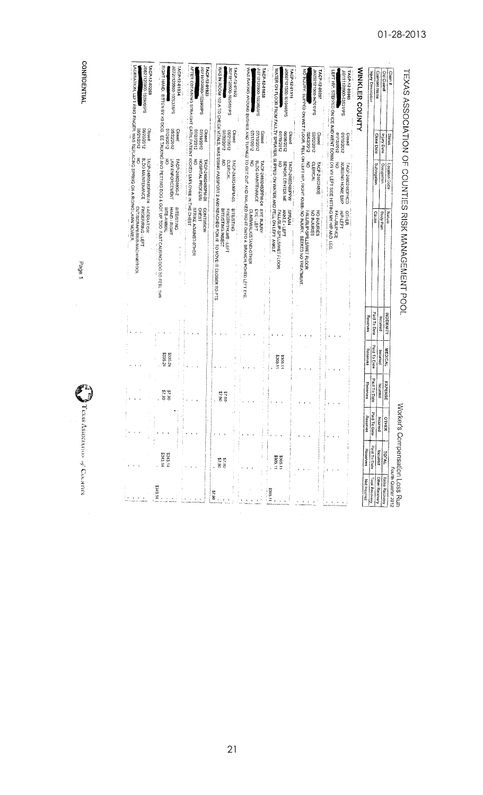| <b>WINKLER COUNTY</b>                                                                                                   |                                      |                                                      |                                                                                                                                                                            |                      |                  |                      |
|-------------------------------------------------------------------------------------------------------------------------|--------------------------------------|------------------------------------------------------|----------------------------------------------------------------------------------------------------------------------------------------------------------------------------|----------------------|------------------|----------------------|
| TACP-12-00063<br>LEFT HIP. STEPPED ON ICE AND WENT DOWN ON Y LEFT SIDE HITTING MY HIP AND LEG.<br>JID11120900-93531/IPS | 01/12/2012<br>01/10/2012<br>Closed   | ó<br>NURSING HOME EMP<br>TACP-24802480PHCD           | HIP-LEFT<br>OTHER<br>FALL/SLIP-ICE                                                                                                                                         |                      |                  |                      |
| JI0202121500-94701/IPS<br>TACP-12-00297                                                                                 | 2102/2012<br>Closed<br>2102/2012     | š<br><b>CLERICAL</b><br>TACP-24802480E               | KOIKUSY, SILPERO OR SELT TLOOP. HELI OR LIFFI HILE, ZELE SELT THE SILPERO LOR LIFFI OR SELFINISTISTISTISTISTIS<br>FALL/SLIP-SPILLS/WET FLOOR<br>NO INJURIES<br>NO INJURIES |                      |                  |                      |
| Sel/9b0101-0051212090ff<br>WATER ON FLOOR FROM FAULTY SPRAYER. SLIPPED ON WATER AND FELL ON LEFT ANKLE<br>TACP-12-01519 | 2102/61/2012<br>7102/90/90<br>Closed | SENIOR CENTER ME<br>š<br>TACP-24802480PPW            | <b>ANALE - LEFT</b><br>SPRAIN<br>FALL/SLIP-SPILLS/VET FLOOR                                                                                                                | \$305.11<br>\$305.11 |                  | \$305.11<br>\$305.11 |
| /0713120900-102380/IPS<br>TACP-12-01858                                                                                 | 2102/21/20<br>2102/2012<br>Closed    | BLDG MAINTENANCE<br>$\vec{5}$<br>TACP-24802480PPW-04 | SYS RAKING PELITI LELEN PORTAJ LO GELI O GELI O GELI O GELI OXICIA A BRANCHI OXIO LE PELI LELEN RAKING PORTAJ P<br><b>EYE INJURY</b><br>EYE-LEFT<br>CLIMB/WALK/STAND-OTHER |                      |                  |                      |
| JIG71912090-102585/IPS<br>LACP-12-01922                                                                                 | 07/30/2012<br>2102/12012<br>Closed   | $\tilde{6}$<br><b>CLERICAL</b><br>TACP-24802480PM-05 | WAS IN ROOM 102 A TO OFFICIALLY MASS USING PASSPORET 2 AND REACHED FOR IT TO MOVE IT CLOSER TO PTS<br><b>BITE/STING</b><br>BITE/STING-INSECT<br>FINGER/THUMB-LEFT          |                      | 06'23<br>06.2\$  | 06'1\$               |
| AFTER OBTAINING STRAIGHT CATH, PATIENT KICKED EMPLOYEE IN THE CHEST<br>10719120900-102590/IPS<br>TACP-12-01923          | 21/27/2012<br>ZLOZ/8L/20<br>Closed   | š<br>HOSPITAL PROFESSI<br>TACP-24802480PM-05         | STRIKE AGAINST-0THER<br><b>CHES1</b><br>CONTUSION                                                                                                                          |                      |                  |                      |
| JI0720120900-102637/IPS<br>ACP-12-01934                                                                                 | 07/28/2012<br>25/22/2012<br>Closed   | LAW ENFORCEMENT<br>TACP-24802480G-2                  | RIGHT HAND. BITTEN BY K9 DOG. EE TALKING AND PETTING AOT UP TOO FAST CAUSING DOG TO FEEL THR<br>BITE-ANIMAL<br>HAND - RIGHT<br><b>BITE/STING</b><br>j.<br>$\frac{1}{2}$    | \$335.24<br>\$335.24 | 06.4\$<br>06'1\$ | \$343.14<br>\$343.14 |
| 10821120920-103909/PS<br>TACP-12-02269<br>ACERATION, LEFT RING FINGER, WAS REPLACING SPRING ON A RIDING LAWN MOWER.     | 2102/02/80<br>Closed<br>2102/12/80   | BLDG MAINTENANCE<br>IACP-24802480PW-04 LACERATION    | FINGER/RING - LEFT<br>CUT/SCRAPE/RUB-MACHINE/TOOL                                                                                                                          |                      |                  |                      |

CONFIDENTIAL

Page 1

 $\hat{\mathcal{L}}$ 

TEXAS Association of Convers

01-28-2013

TEXAS ASSOCIATION OF COUNTIES RISK MANAGEMENT POOL

Claim #<br>Old Claim#<br>Claimant Name<br>Injury Description

Status<br> **Thuy Date**<br> **Close Date**<br> **Close Date**<br> **Close Date**<br> **Close Date**<br> **Close Date**<br> **Close Date** 

Nature<br>Body Part<br>Cause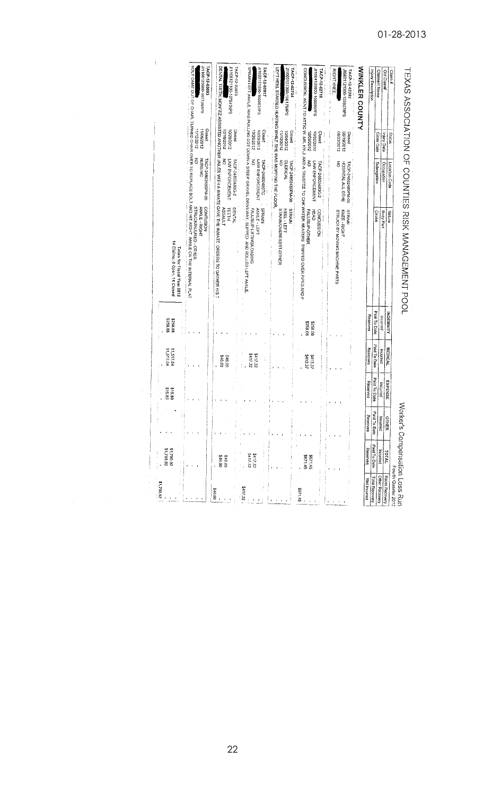| 28'062'18                        |                      |                  |                    |                      |                     |                                                                                                                                                                 |                                                           |                                              |                                                                                                       |
|----------------------------------|----------------------|------------------|--------------------|----------------------|---------------------|-----------------------------------------------------------------------------------------------------------------------------------------------------------------|-----------------------------------------------------------|----------------------------------------------|-------------------------------------------------------------------------------------------------------|
|                                  | 28'062'18            | þ                | \$15.80<br>08'91\$ | 51,517.04            | 8258.08<br>80'823   | 14 Claims: 0 Open, 14 Closed<br>Totals for Fiscal Year 2012                                                                                                     |                                                           |                                              |                                                                                                       |
|                                  |                      |                  |                    |                      |                     | CONTUSION<br>STRUCK/INJURED - OTHER<br>ANKLE - RIGHT                                                                                                            | š<br>NURSING<br>TACP-24802480PM-05                        | Closed<br>1112/2012<br>11/06/2012            | //1108120900-107738/IPS<br><b>FACP-12-03093</b>                                                       |
| \$46.00                          | \$46.00<br>346.00    |                  |                    | 00'91\$<br>S46.00    |                     | DENTAL TEETH, MONTEZ ASSISTED ANOTHER JANE GAVE THE INMATE GAVE THE INMATE ORDERS TO GATHER HIS T<br><b>DENTAL</b><br><b>TEETH</b><br><b>ASSAULT</b>            | $\tilde{5}$<br>LAW ENFORCEMENT<br>TACP-24802480G-2        | Closed<br>10282012<br>2/16/2012              | JI1105121100-107643/IPS<br>TACP-12-03073                                                              |
| <b>SE11122</b>                   | \$417.32<br>\$417.32 |                  |                    | S417.32<br>\$417.32  |                     | SPRANN LEFT ANKLE, WAS PULLING COT DOWN A STEEP GRAVEL DRIVAY, SLIPPED AND ROLLED LEFT ANKLE.<br>SPRAIN<br><b>ANKLE - LEFT</b><br>FALL/SLIP-LIFTING/LOADING     | LAW ENFORCEMENT<br>š<br>TACP-24802480TC                   | 10202012<br>Closed<br>10/26/2012             | J11022121500-106963/IPS<br>TACP-12-02917                                                              |
|                                  |                      |                  |                    |                      |                     | STRAIN<br><b>STRAINOVEREXERT-OTHER</b><br>出世上的                                                                                                                  | 중<br><b>CLERICAL</b><br>TACP-24802480PM-08                | 2102/50/01<br>Closed<br>Closed<br>2102/21/11 | J11005121300-106179/IPS<br>TACP-12-02734<br>LEFT HEEL STARTED HURTING WHILE SHE WAS MOPPING THE FLOOR |
| 31.45                            | 91149<br>54.1.45     |                  |                    | \$113.37<br>\$413.37 | 8258.08<br>\$258.08 | CONCOSSION AFRICAL TO ATTICLE AND NATIONAL MATER HEATER TO SHALL AND A TRACK AND A TRACK ON SHAP PERSUSTIONS SOME<br>FALL/SLP-OTHER<br>开下的<br><b>LONCUSSION</b> | LAW ENFORCEMENT<br>ś<br>LACP-24802480G-2                  | 10/02/2012<br>Closed<br>2102/60/01           | JI1004120901-060981/PS<br>TACP-12-02718                                                               |
|                                  |                      |                  |                    |                      |                     | KNEE - RIGHT<br>STRAIN<br>STRUCK BY MOVING MACHINE PARTS                                                                                                        | $\overline{6}$<br>HOSPITAL ALL OTHE<br>TACP-24802480PM-05 | 2102/81/80<br>Closed<br>08/22/2012           | <b>RIGHT KNEE</b><br>TACP-12-02282<br>JI0821121300-103937/IPS                                         |
| Nel Incurred                     | Reserves             | <b>Reserves</b>  | Reserves           | Reserves             | Reserves            |                                                                                                                                                                 |                                                           |                                              | <b>WINKLER COUNTY</b>                                                                                 |
| <b>Total Recovery</b>            | Paid To Date         | Paid To Date     | Paid To Date       | Paid To Date         | Paid To Date        | Cause                                                                                                                                                           | Subrogation                                               | Close Date                                   | Claimant Name<br>Injury Description                                                                   |
| Reins Recovery<br>Other Recovery | Incurred<br>TOTAL    | OTHER<br>Indured | <b>EXPENSE</b>     | incurred             | Incurred            | Body Part                                                                                                                                                       | Occupation                                                | njury Date                                   | Old Claim#                                                                                            |
| Fourth Quarter 2012              |                      |                  |                    | <b>MEDICAL</b>       | <b>INDEMNITY</b>    | Nature                                                                                                                                                          | Location Code                                             | Status                                       | Claim #                                                                                               |

 $\frac{1}{2}$ 

# 01-28-2013

TEXAS ASSOCIATION OF COUNTIES RISK MANAGEMENT POOL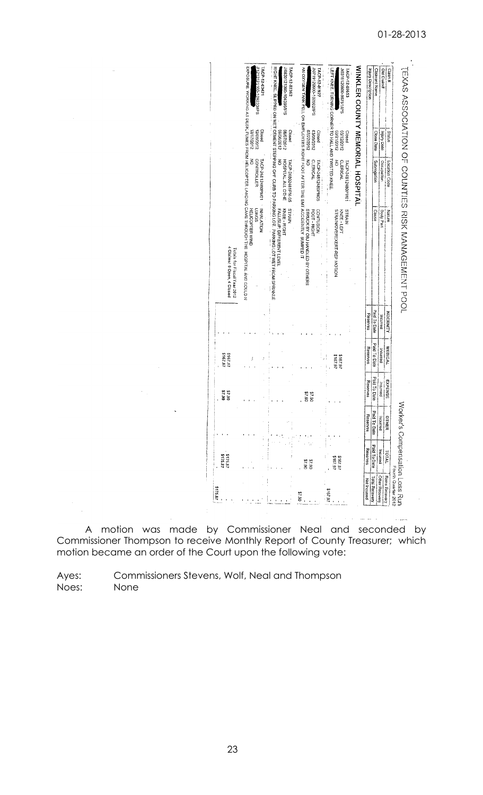| \$175.87                              | 5175.87<br>\$175.87      |                          | 06'7\$<br>06'Z\$         | 46.7912<br>16.1912       |                          | 4 Claims: 0 Open, 4 Closed<br>Totals for Fiscal Year 2012                                                                                             |                                                       |                                    |                                                                                              |
|---------------------------------------|--------------------------|--------------------------|--------------------------|--------------------------|--------------------------|-------------------------------------------------------------------------------------------------------------------------------------------------------|-------------------------------------------------------|------------------------------------|----------------------------------------------------------------------------------------------|
|                                       |                          |                          |                          | ś.                       |                          | EXPOSITE MORKING AT DECK, THANES TROM HELIOPPTER IS AND MORE THE HOUGH HAE HOSPITAL AND DOCLD M<br><b>HELICOPTER WIND</b><br><b>LUNUSS</b>            | š<br><b>CONTROLLER</b><br>TACP-24812480PM01 NNALATION | Closed<br>12/172012<br>12/06/2012  | TACP-12-03421<br>PI213121100-109233MPS                                                       |
|                                       |                          |                          |                          |                          |                          | <b>EXPLAINMENT STEPHEN ON WELCHRING OF HOUR DOWNSTOL PARKING LOT WELF FROM SPENNING.</b><br>NIVALS<br>KNEE-RIGHT<br>FALL/SLIP: DIFFERENT LEVEL        | š<br>HOSPITAL ALL OTHE<br>TACP-24802481PM-05          | 2102/2012<br>Closed<br>2102/90/60  | JI0830121300-104396/IPS<br>TACP-12-02362                                                     |
| 06'1\$                                | 37.90<br>06'1\$          |                          | 06.78<br>06.26           |                          |                          | AN OXYGEN TANK FELL ON EMPLOYEES RIGHT FOOT AFTER THE EMT ACCIDENTLY BUMPED IT<br><b>CONTUSION</b><br>STRUCK BY OBJ HANDLED BY OTHERS<br>FOOT - RIGHT | š<br><b>CLERICAL</b><br>TACP-24812480PM05             | 07/27/2012<br>03/05/2012<br>Clased | JI0719120900-102602/PS<br>TACP-12-01927                                                      |
| 2167.97                               | 46.797<br>2187.97        |                          |                          | \$167.97<br>167.97       |                          | STRAIN<br>STRAINOVEREXERT-REP MOTION<br>KNEE-LEFT                                                                                                     | $\tilde{6}$<br><b>CLERICAL</b><br>TACP-24812480PM01   | 03/12/2012<br>2102/12/20<br>Closed | LEFT KNEE. TURNING CORNER TO HALL AND TWISTED KNEE<br>J0316120900-96751/IPS<br>TACP-12-00653 |
|                                       |                          |                          |                          |                          |                          |                                                                                                                                                       |                                                       |                                    | WINKLER COUNTY MEMORIAL HOSPITAL                                                             |
| <b>Total Recovery</b><br>Net Incurred | Paid To Date<br>Reserves | Paid To Date<br>Reserves | Reserves                 | Reserves                 | Reserves                 |                                                                                                                                                       |                                                       |                                    | hiuy Description                                                                             |
| Other Recovery                        | Incurred                 | <b>Incurred</b>          | Paid To Date<br>Incurred | Paid To Date<br>Incurred | Paid To Dale<br>Incurred | Cause                                                                                                                                                 | Subregation<br>Occupation                             | Close Date<br>hiury Dale           | <b>Claimant Name</b>                                                                         |
| Reins Recovery                        | TVIOI                    | OTHER                    | <b>EXPENSE</b>           | <b>MEDICAL</b>           | INDENNITY                | Nature<br>Body Part                                                                                                                                   | Location Code                                         | Status                             | Old Claim#<br>Claim #                                                                        |

 $\hat{\theta}$  and  $\hat{\theta}$  are the set of the same parameters  $\hat{\theta}$ 

A motion was made by Commissioner Neal and seconded by Commissioner Thompson to receive Monthly Report of County Treasurer; which motion became an order of the Court upon the following vote:

Ayes: Commissioners Stevens, Wolf, Neal and Thompson Noes: None

 $\sim$ 

 $\sim$ 

 $\bar{\alpha}$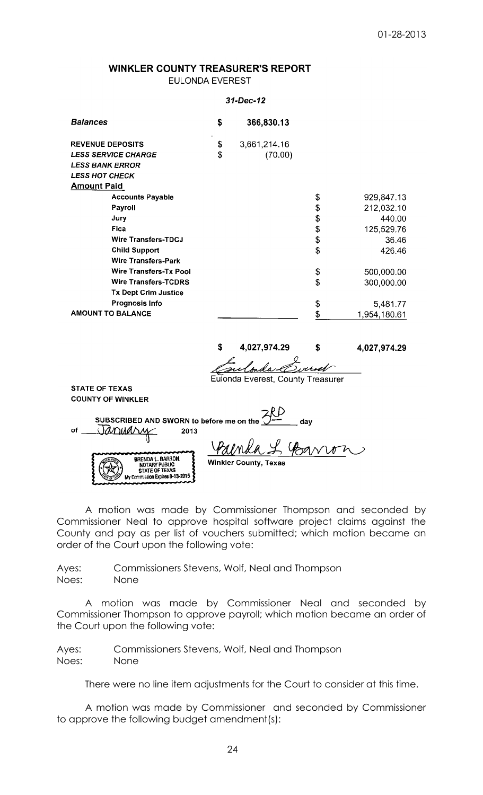## WINKLER COUNTY TREASURER'S REPORT **EULONDA EVEREST**

### 31-Dec-12

| <b>Balances</b>               | S  | 366,830.13   |                    |
|-------------------------------|----|--------------|--------------------|
| <b>REVENUE DEPOSITS</b>       | \$ | 3,661,214.16 |                    |
| <b>LESS SERVICE CHARGE</b>    | \$ | (70.00)      |                    |
| <b>LESS BANK ERROR</b>        |    |              |                    |
| <b>LESS HOT CHECK</b>         |    |              |                    |
| <b>Amount Paid</b>            |    |              |                    |
| <b>Accounts Payable</b>       |    |              | \$<br>929,847.13   |
| Payroll                       |    |              | \$<br>212,032.10   |
| Jury                          |    |              | \$<br>440.00       |
| <b>Fica</b>                   |    |              | \$<br>125,529.76   |
| <b>Wire Transfers-TDCJ</b>    |    |              | \$<br>36.46        |
| <b>Child Support</b>          |    |              | \$<br>426.46       |
| <b>Wire Transfers-Park</b>    |    |              |                    |
| <b>Wire Transfers-Tx Pool</b> |    |              | \$<br>500,000.00   |
| <b>Wire Transfers-TCDRS</b>   |    |              | \$<br>300,000.00   |
| <b>Tx Dept Crim Justice</b>   |    |              |                    |
| <b>Prognosis Info</b>         |    |              | \$<br>5,481.77     |
| <b>AMOUNT TO BALANCE</b>      |    |              | \$<br>1,954,180.61 |

4,027,974.29 \$ 4,027,974.29 \$

Eulonda Everest, County Treasurer

**STATE OF TEXAS COUNTY OF WINKLER** 

SUBSCRIBED AND SWORN to before me on the January 2013 of **BRENDA L. BARRON Winkler County, Texas** NOTARY PUBLIC<br>STATE OF TEXAS

My Commission Expires 8-13-2015

A motion was made by Commissioner Thompson and seconded by Commissioner Neal to approve hospital software project claims against the County and pay as per list of vouchers submitted; which motion became an order of the Court upon the following vote:

Ayes: Commissioners Stevens, Wolf, Neal and Thompson Noes: None

A motion was made by Commissioner Neal and seconded by Commissioner Thompson to approve payroll; which motion became an order of the Court upon the following vote:

Ayes: Commissioners Stevens, Wolf, Neal and Thompson Noes: None

There were no line item adjustments for the Court to consider at this time.

A motion was made by Commissioner and seconded by Commissioner to approve the following budget amendment(s):